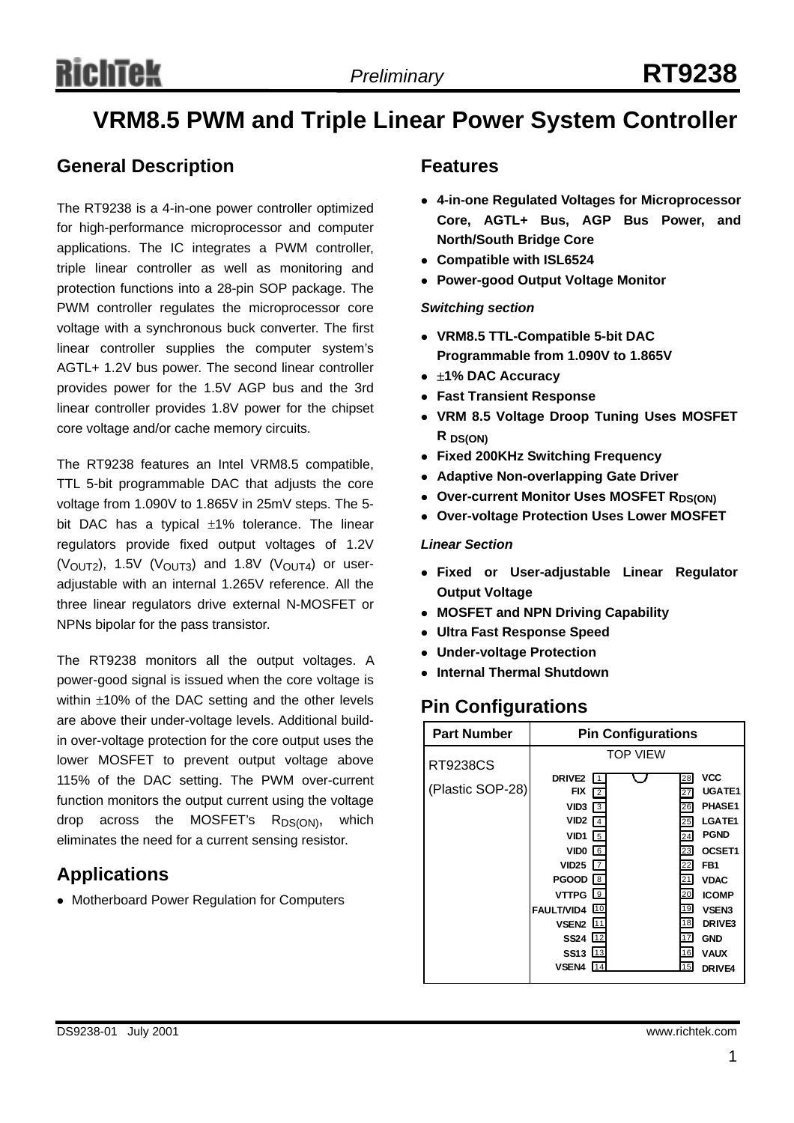# **RichTek**

## **VRM8.5 PWM and Triple Linear Power System Controller**

### **General Description**

The RT9238 is a 4-in-one power controller optimized for high-performance microprocessor and computer applications. The IC integrates a PWM controller, triple linear controller as well as monitoring and protection functions into a 28-pin SOP package. The PWM controller regulates the microprocessor core voltage with a synchronous buck converter. The first linear controller supplies the computer system's AGTL+ 1.2V bus power. The second linear controller provides power for the 1.5V AGP bus and the 3rd linear controller provides 1.8V power for the chipset core voltage and/or cache memory circuits.

The RT9238 features an Intel VRM8.5 compatible, TTL 5-bit programmable DAC that adjusts the core voltage from 1.090V to 1.865V in 25mV steps. The 5 bit DAC has a typical ±1% tolerance. The linear regulators provide fixed output voltages of 1.2V  $(V<sub>OUT2</sub>)$ , 1.5V  $(V<sub>OUT3</sub>)$  and 1.8V  $(V<sub>OUT4</sub>)$  or useradjustable with an internal 1.265V reference. All the three linear regulators drive external N-MOSFET or NPNs bipolar for the pass transistor.

The RT9238 monitors all the output voltages. A power-good signal is issued when the core voltage is within  $\pm$ 10% of the DAC setting and the other levels are above their under-voltage levels. Additional buildin over-voltage protection for the core output uses the lower MOSFET to prevent output voltage above 115% of the DAC setting. The PWM over-current function monitors the output current using the voltage drop across the MOSFET's  $R_{DS(ON)}$ , which eliminates the need for a current sensing resistor.

## **Applications**

• Motherboard Power Regulation for Computers

### **Features**

- z **4-in-one Regulated Voltages for Microprocessor Core, AGTL+ Bus, AGP Bus Power, and North/South Bridge Core**
- **Compatible with ISL6524**
- **Power-good Output Voltage Monitor**

#### *Switching section*

- z **VRM8.5 TTL-Compatible 5-bit DAC Programmable from 1.090V to 1.865V**
- <sup>z</sup> ±**1% DAC Accuracy**
- **Fast Transient Response**
- z **VRM 8.5 Voltage Droop Tuning Uses MOSFET R DS(ON)**
- z **Fixed 200KHz Switching Frequency**
- **Adaptive Non-overlapping Gate Driver**
- **Over-current Monitor Uses MOSFET RDS(ON)**
- **Over-voltage Protection Uses Lower MOSFET**

#### *Linear Section*

- **Fixed or User-adjustable Linear Regulator Output Voltage**
- **MOSFET and NPN Driving Capability**
- **Ultra Fast Response Speed**
- z **Under-voltage Protection**
- **Internal Thermal Shutdown**

### **Pin Configurations**

| <b>Part Number</b> |                                                               | <b>Pin Configurations</b> |                                  |
|--------------------|---------------------------------------------------------------|---------------------------|----------------------------------|
| RT9238CS           |                                                               | <b>TOP VIEW</b>           |                                  |
| (Plastic SOP-28)   | DRIVE <sub>2</sub><br><b>FIX</b><br>$\overline{2}$            | 28<br>27                  | <b>VCC</b><br><b>UGATE1</b>      |
|                    | VID <sub>3</sub><br>3<br>VID2<br>$\overline{4}$               | 26<br>25                  | PHASE1<br><b>LGATE1</b>          |
|                    | VID1<br>5                                                     | 24                        | <b>PGND</b>                      |
|                    | <b>VIDO</b><br>$\overline{6}$<br>VID <sub>25</sub> $\sqrt{7}$ | 23<br>22                  | OCSET1<br>FB <sub>1</sub>        |
|                    | <b>PGOOD</b> 8                                                | 21                        | <b>VDAC</b>                      |
|                    | VTTPG 19<br>FAULT/VID4 10                                     | 20<br>19                  | <b>ICOMP</b><br>VSEN3            |
|                    | <b>VSEN2 [11]</b><br>SS24 $\sqrt{12}$                         | 18<br>17                  | DRIVE <sub>3</sub><br><b>GND</b> |
|                    | SS13 13                                                       | 16                        | <b>VAUX</b>                      |
|                    | <b>VSEN4</b><br>14                                            | 15                        | DRIVE4                           |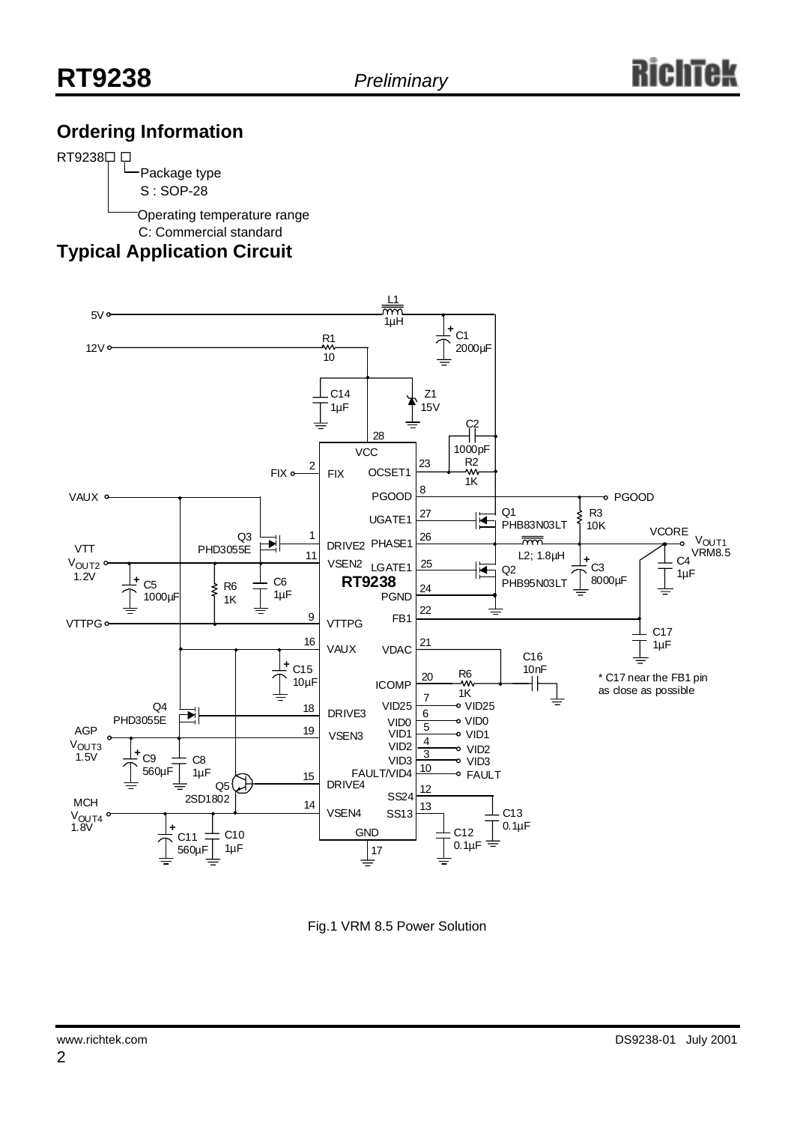## **Ordering Information**





Fig.1 VRM 8.5 Power Solution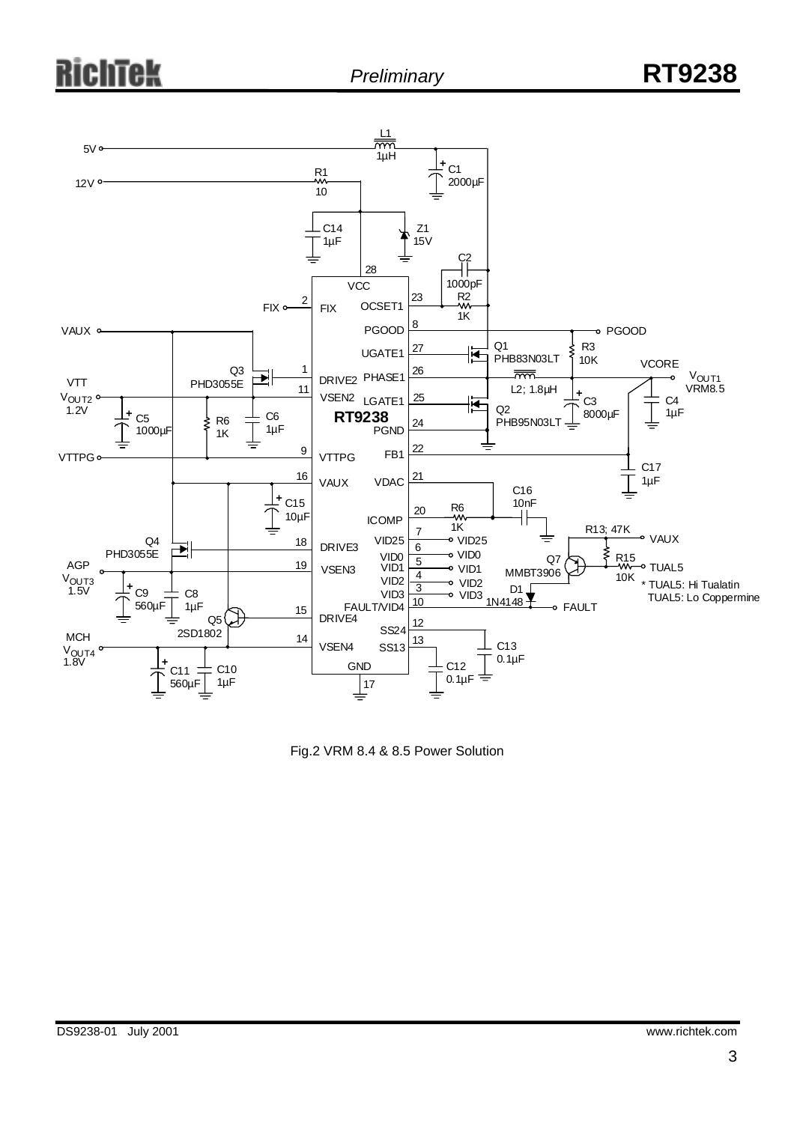

Fig.2 VRM 8.4 & 8.5 Power Solution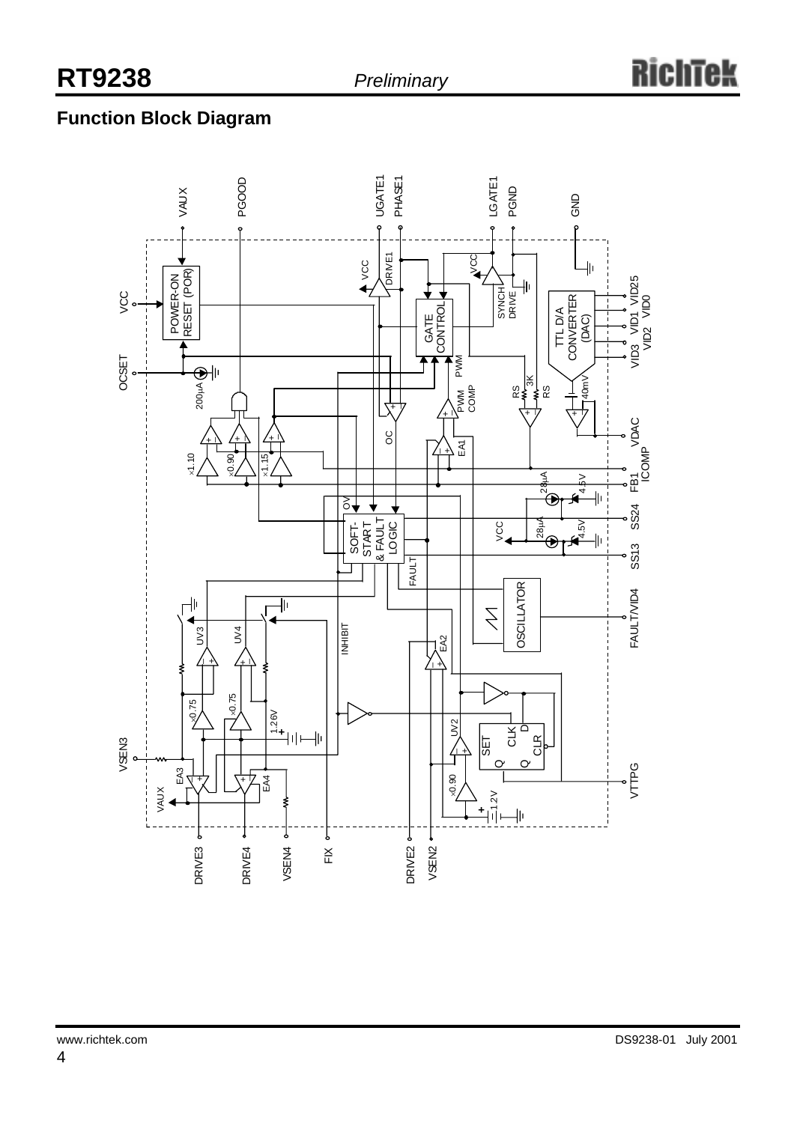## **Function Block Diagram**

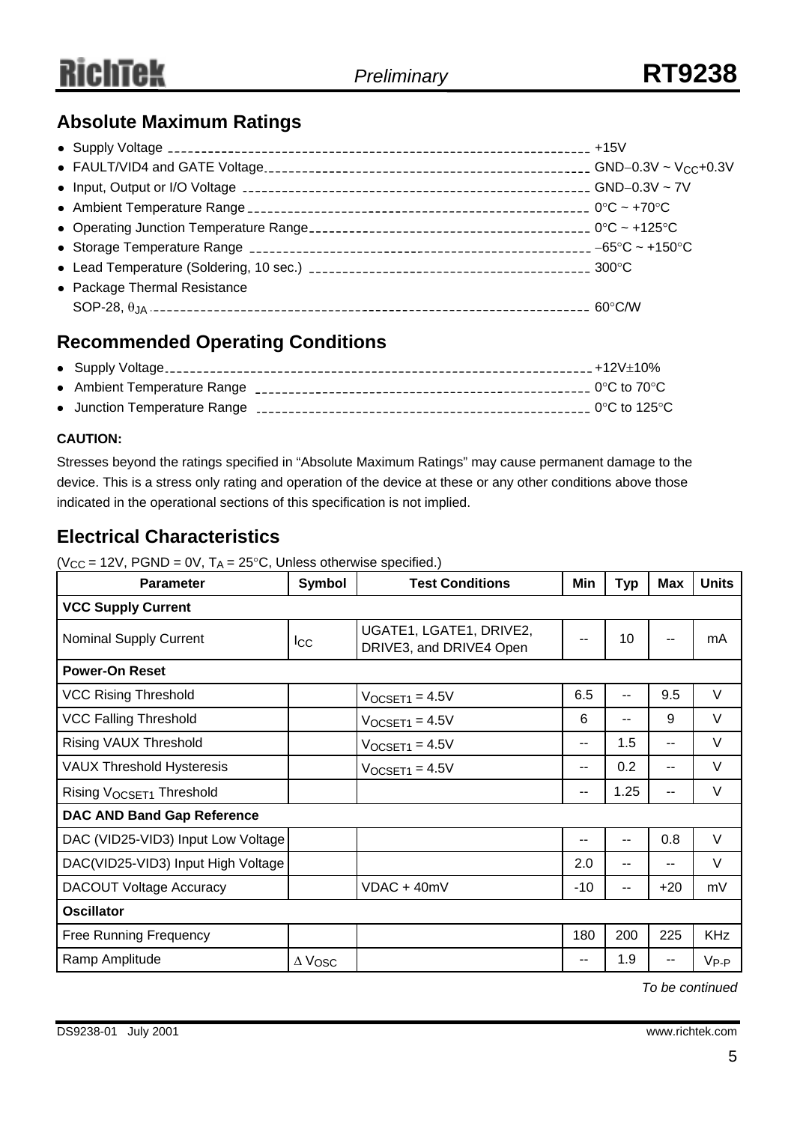## **Absolute Maximum Ratings**

| • Package Thermal Resistance |  |
|------------------------------|--|
|                              |  |

## **Recommended Operating Conditions**

#### **CAUTION:**

Stresses beyond the ratings specified in "Absolute Maximum Ratings" may cause permanent damage to the device. This is a stress only rating and operation of the device at these or any other conditions above those indicated in the operational sections of this specification is not implied.

## **Electrical Characteristics**

( $V_{CC}$  = 12V, PGND = 0V, T<sub>A</sub> = 25°C, Unless otherwise specified.)

| <b>Parameter</b>                     | <b>Symbol</b> | <b>Test Conditions</b>                             | Min   | <b>Typ</b> | Max   | <b>Units</b> |
|--------------------------------------|---------------|----------------------------------------------------|-------|------------|-------|--------------|
| <b>VCC Supply Current</b>            |               |                                                    |       |            |       |              |
| Nominal Supply Current               | $_{\rm lcc}$  | UGATE1, LGATE1, DRIVE2,<br>DRIVE3, and DRIVE4 Open | --    | 10         |       | mA           |
| <b>Power-On Reset</b>                |               |                                                    |       |            |       |              |
| <b>VCC Rising Threshold</b>          |               | $V$ OCSET <sub>1</sub> = 4.5 $V$                   | 6.5   | --         | 9.5   | V            |
| <b>VCC Falling Threshold</b>         |               | $VOCSET1 = 4.5V$                                   | 6     | --         | 9     | $\vee$       |
| Rising VAUX Threshold                |               | $VOCSET1 = 4.5V$                                   | --    | 1.5        | --    | $\vee$       |
| <b>VAUX Threshold Hysteresis</b>     |               | $VOCSET1 = 4.5V$                                   | --    | 0.2        | --    | $\vee$       |
| Rising V <sub>OCSET1</sub> Threshold |               |                                                    | --    | 1.25       | --    | V            |
| DAC AND Band Gap Reference           |               |                                                    |       |            |       |              |
| DAC (VID25-VID3) Input Low Voltage   |               |                                                    | --    | --         | 0.8   | $\vee$       |
| DAC(VID25-VID3) Input High Voltage   |               |                                                    | 2.0   | --         | --    | V            |
| <b>DACOUT Voltage Accuracy</b>       |               | $VDAC + 40mV$                                      | $-10$ | --         | $+20$ | mV           |
| <b>Oscillator</b>                    |               |                                                    |       |            |       |              |
| <b>Free Running Frequency</b>        |               |                                                    | 180   | 200        | 225   | <b>KHz</b>   |
| Ramp Amplitude                       | $\Delta$ Vosc |                                                    | --    | 1.9        |       | $V_{P-P}$    |

*To be continued*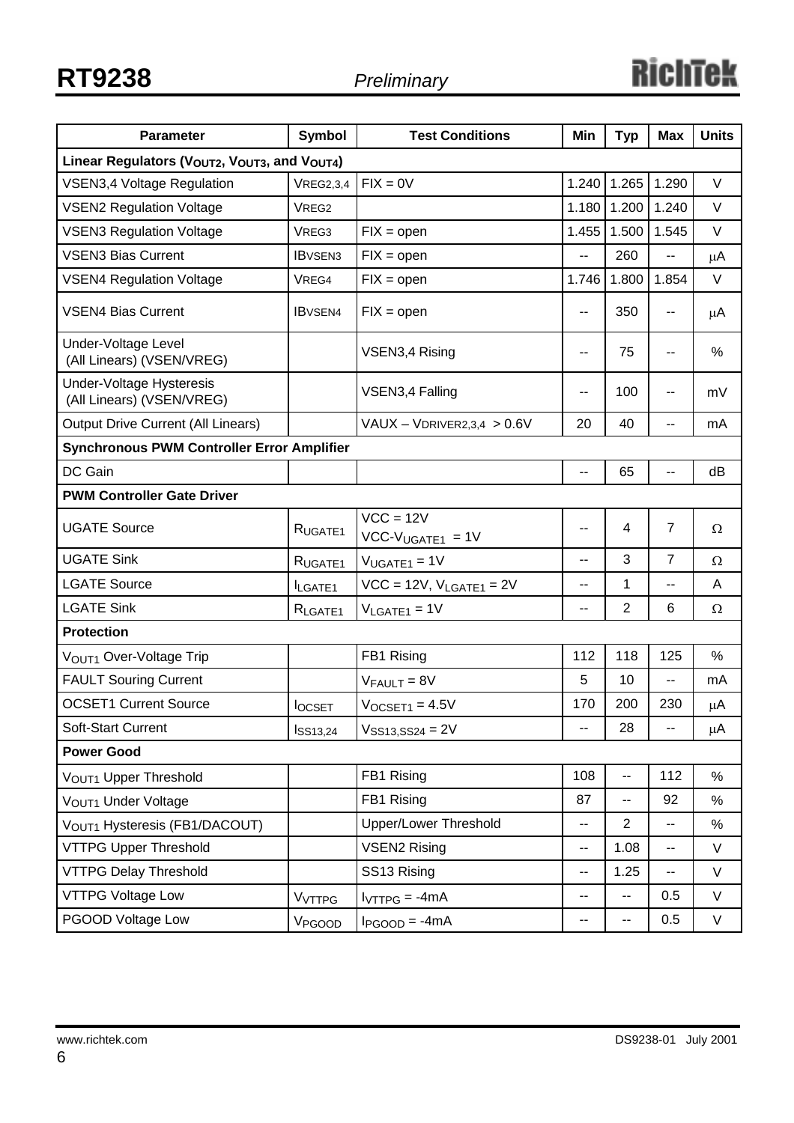| <b>Parameter</b>                                             | <b>Symbol</b>       | <b>Test Conditions</b>            | Min   | <b>Typ</b>               | <b>Max</b>               | <b>Units</b> |
|--------------------------------------------------------------|---------------------|-----------------------------------|-------|--------------------------|--------------------------|--------------|
| Linear Regulators (VOUT2, VOUT3, and VOUT4)                  |                     |                                   |       |                          |                          |              |
| <b>VSEN3,4 Voltage Regulation</b>                            | <b>VREG2,3,4</b>    | $FIX = 0V$                        | 1.240 | 1.265                    | 1.290                    | $\vee$       |
| <b>VSEN2 Regulation Voltage</b>                              | VREG2               |                                   | 1.180 | 1.200                    | 1.240                    | V            |
| <b>VSEN3 Regulation Voltage</b>                              | VREG3               | $FIX = open$                      | 1.455 | 1.500                    | 1.545                    | V            |
| <b>VSEN3 Bias Current</b>                                    | <b>IBVSEN3</b>      | $FIX = open$                      | --    | 260                      | $\overline{a}$           | μA           |
| <b>VSEN4 Regulation Voltage</b>                              | VREG4               | $FIX = open$                      | 1.746 | 1.800                    | 1.854                    | V            |
| <b>VSEN4 Bias Current</b>                                    | <b>IBVSEN4</b>      | $FIX = open$                      | --    | 350                      | $\overline{\phantom{a}}$ | μA           |
| Under-Voltage Level<br>(All Linears) (VSEN/VREG)             |                     | VSEN3,4 Rising                    | ۰.    | 75                       | $\overline{a}$           | %            |
| <b>Under-Voltage Hysteresis</b><br>(All Linears) (VSEN/VREG) |                     | VSEN3,4 Falling                   | --    | 100                      | $\overline{\phantom{a}}$ | mV           |
| <b>Output Drive Current (All Linears)</b>                    |                     | $VAUX - VDRIVER2,3,4 > 0.6V$      | 20    | 40                       | $-$                      | mA           |
| <b>Synchronous PWM Controller Error Amplifier</b>            |                     |                                   |       |                          |                          |              |
| DC Gain                                                      |                     |                                   | --    | 65                       | $\overline{\phantom{a}}$ | dB           |
| <b>PWM Controller Gate Driver</b>                            |                     |                                   |       |                          |                          |              |
| <b>UGATE Source</b>                                          | RUGATE <sub>1</sub> | $VCC = 12V$<br>$VCC-VUGATE1 = 1V$ | --    | 4                        | $\overline{7}$           | Ω            |
| <b>UGATE Sink</b>                                            | RUGATE <sub>1</sub> | $VUGATE1 = 1V$                    | $-$   | 3                        | $\overline{7}$           | Ω            |
| <b>LGATE Source</b>                                          | ILGATE1             | $VCC = 12V$ , $V_{LGATE1} = 2V$   | $-$   | 1                        | $\overline{a}$           | A            |
| <b>LGATE Sink</b>                                            | R <sub>LGATE1</sub> | $V_{LGATE1} = 1V$                 | --    | $\overline{2}$           | 6                        | $\Omega$     |
| <b>Protection</b>                                            |                     |                                   |       |                          |                          |              |
| VOUT1 Over-Voltage Trip                                      |                     | FB1 Rising                        | 112   | 118                      | 125                      | $\%$         |
| <b>FAULT Souring Current</b>                                 |                     | $V_{FAULT} = 8V$                  | 5     | 10                       | $\overline{a}$           | mA           |
| <b>OCSET1 Current Source</b>                                 | <b>locset</b>       | $VOCSET1 = 4.5V$                  | 170   | 200                      | 230                      | μA           |
| Soft-Start Current                                           | IsS13,24            | $V_{SS13,SS24} = 2V$              | --    | 28                       | --                       | μA           |
| <b>Power Good</b>                                            |                     |                                   |       |                          |                          |              |
| VOUT1 Upper Threshold                                        |                     | FB1 Rising                        | 108   | $\overline{\phantom{a}}$ | 112                      | %            |
| VOUT1 Under Voltage                                          |                     | FB1 Rising                        | 87    | --                       | 92                       | %            |
| VOUT1 Hysteresis (FB1/DACOUT)                                |                     | <b>Upper/Lower Threshold</b>      | --    | $\overline{2}$           | --                       | %            |
| <b>VTTPG Upper Threshold</b>                                 |                     | <b>VSEN2 Rising</b>               | --    | 1.08                     | н.                       | V            |
| <b>VTTPG Delay Threshold</b>                                 |                     | SS13 Rising                       | --    | 1.25                     | $\overline{\phantom{a}}$ | V            |
| <b>VTTPG Voltage Low</b>                                     | VVTTPG              | $IVTTPG = -4mA$                   | --    | --                       | 0.5                      | V            |
| PGOOD Voltage Low                                            | V <sub>PGOOD</sub>  | $I_{PGOOD} = -4mA$                | --    | ۰.                       | 0.5                      | V            |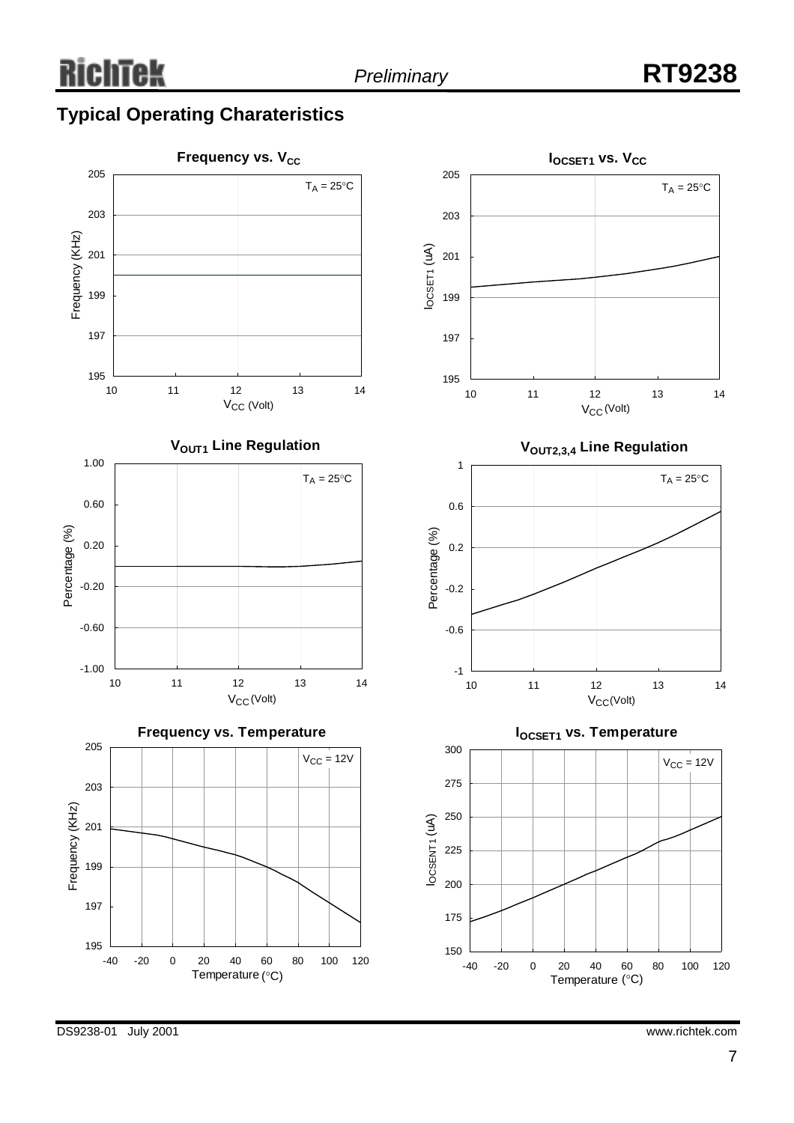## **Typical Operating Charateristics**



DS9238-01 July 2001 www.richtek.com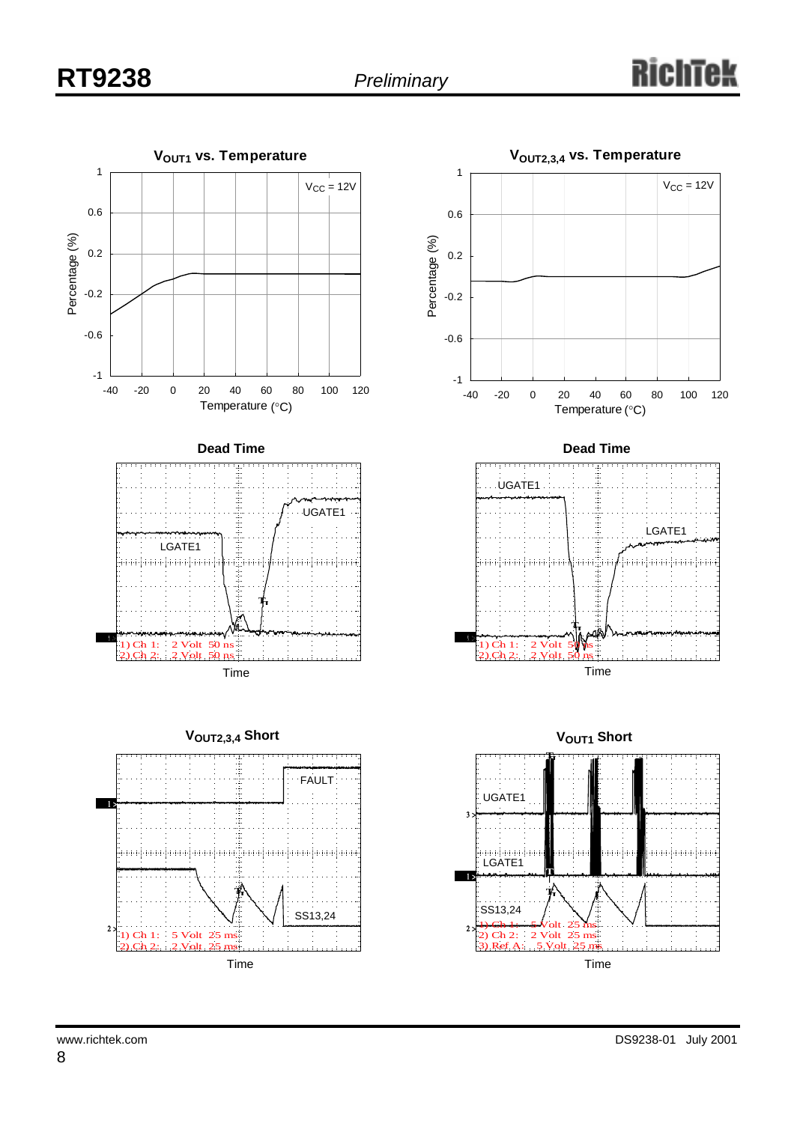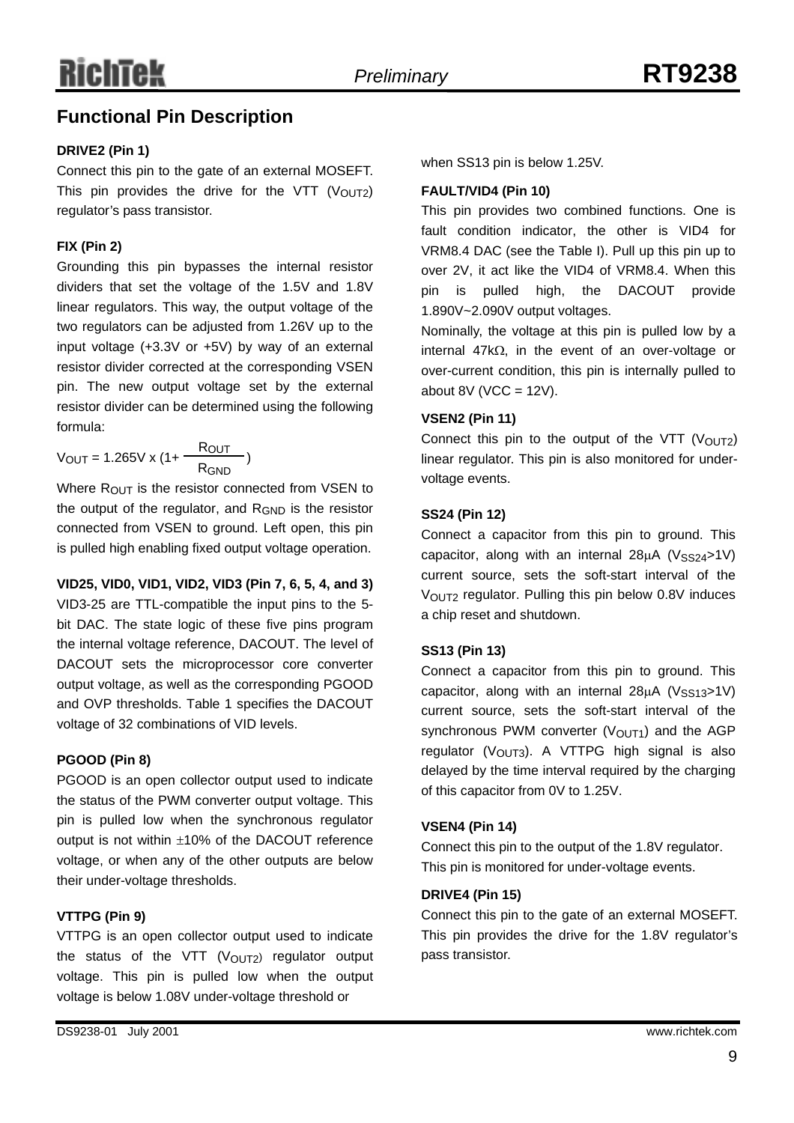## **Functional Pin Description**

#### **DRIVE2 (Pin 1)**

Connect this pin to the gate of an external MOSEFT. This pin provides the drive for the VTT  $(V_{OUT2})$ regulator's pass transistor.

#### **FIX (Pin 2)**

Grounding this pin bypasses the internal resistor dividers that set the voltage of the 1.5V and 1.8V linear regulators. This way, the output voltage of the two regulators can be adjusted from 1.26V up to the input voltage (+3.3V or +5V) by way of an external resistor divider corrected at the corresponding VSEN pin. The new output voltage set by the external resistor divider can be determined using the following formula:

$$
V_{OUT} = 1.265V \times (1 + \frac{R_{OUT}}{R_{GND}})
$$

Where  $R<sub>OUT</sub>$  is the resistor connected from VSEN to the output of the regulator, and  $R_{GND}$  is the resistor connected from VSEN to ground. Left open, this pin is pulled high enabling fixed output voltage operation.

**VID25, VID0, VID1, VID2, VID3 (Pin 7, 6, 5, 4, and 3)** VID3-25 are TTL-compatible the input pins to the 5 bit DAC. The state logic of these five pins program the internal voltage reference, DACOUT. The level of DACOUT sets the microprocessor core converter output voltage, as well as the corresponding PGOOD and OVP thresholds. Table 1 specifies the DACOUT voltage of 32 combinations of VID levels.

#### **PGOOD (Pin 8)**

PGOOD is an open collector output used to indicate the status of the PWM converter output voltage. This pin is pulled low when the synchronous regulator output is not within ±10% of the DACOUT reference voltage, or when any of the other outputs are below their under-voltage thresholds.

#### **VTTPG (Pin 9)**

VTTPG is an open collector output used to indicate the status of the VTT ( $V_{\text{OUT2}}$ ) regulator output voltage. This pin is pulled low when the output voltage is below 1.08V under-voltage threshold or

when SS13 pin is below 1.25V.

#### **FAULT/VID4 (Pin 10)**

This pin provides two combined functions. One is fault condition indicator, the other is VID4 for VRM8.4 DAC (see the Table I). Pull up this pin up to over 2V, it act like the VID4 of VRM8.4. When this pin is pulled high, the DACOUT provide 1.890V~2.090V output voltages.

Nominally, the voltage at this pin is pulled low by a internal 47kΩ, in the event of an over-voltage or over-current condition, this pin is internally pulled to about  $8V$  (VCC = 12V).

#### **VSEN2 (Pin 11)**

Connect this pin to the output of the VTT  $(V_{OUT2})$ linear regulator. This pin is also monitored for undervoltage events.

#### **SS24 (Pin 12)**

Connect a capacitor from this pin to ground. This capacitor, along with an internal  $28\mu$ A (V<sub>SS24</sub>>1V) current source, sets the soft-start interval of the VOUT2 regulator. Pulling this pin below 0.8V induces a chip reset and shutdown.

#### **SS13 (Pin 13)**

Connect a capacitor from this pin to ground. This capacitor, along with an internal  $28\mu$ A (Vss<sub>13</sub>>1V) current source, sets the soft-start interval of the synchronous PWM converter  $(V<sub>OUT1</sub>)$  and the AGP regulator ( $V<sub>OUT3</sub>$ ). A VTTPG high signal is also delayed by the time interval required by the charging of this capacitor from 0V to 1.25V.

#### **VSEN4 (Pin 14)**

Connect this pin to the output of the 1.8V regulator. This pin is monitored for under-voltage events.

#### **DRIVE4 (Pin 15)**

Connect this pin to the gate of an external MOSEFT. This pin provides the drive for the 1.8V regulator's pass transistor.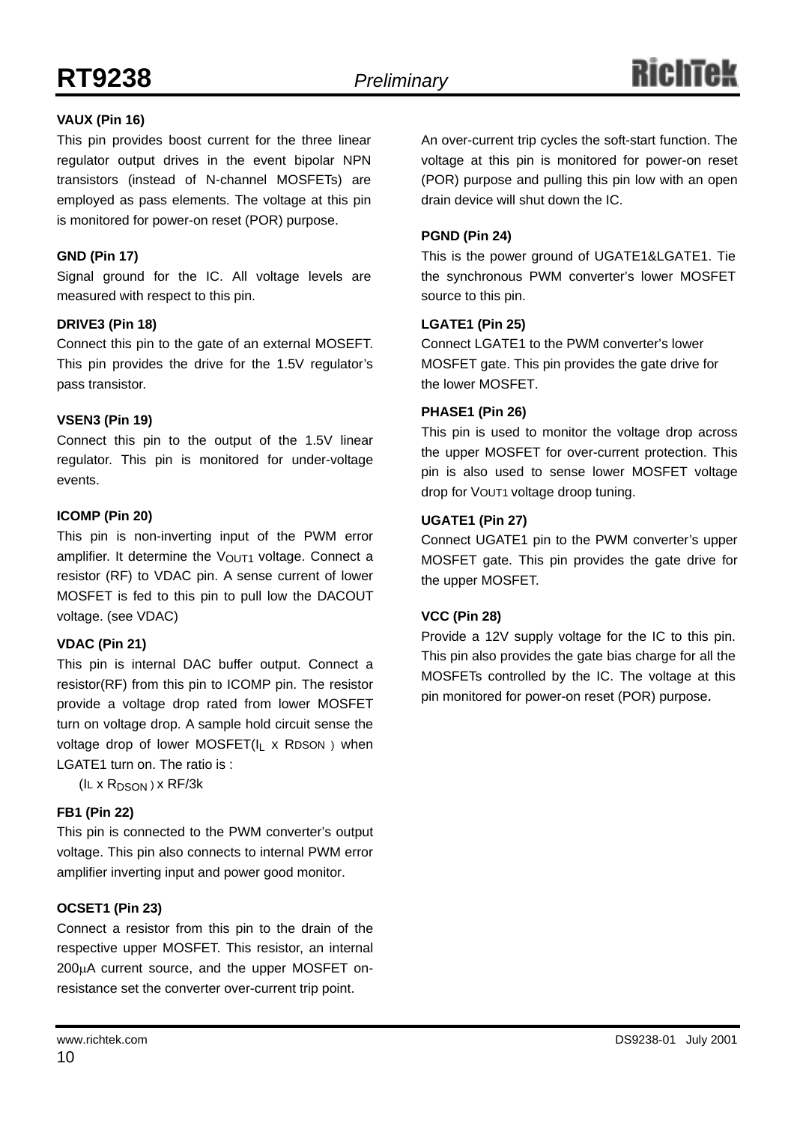## **RT9238** *Preliminary*

#### **VAUX (Pin 16)**

This pin provides boost current for the three linear regulator output drives in the event bipolar NPN transistors (instead of N-channel MOSFETs) are employed as pass elements. The voltage at this pin is monitored for power-on reset (POR) purpose.

#### **GND (Pin 17)**

Signal ground for the IC. All voltage levels are measured with respect to this pin.

#### **DRIVE3 (Pin 18)**

Connect this pin to the gate of an external MOSEFT. This pin provides the drive for the 1.5V regulator's pass transistor.

#### **VSEN3 (Pin 19)**

Connect this pin to the output of the 1.5V linear regulator. This pin is monitored for under-voltage events.

#### **ICOMP (Pin 20)**

This pin is non-inverting input of the PWM error amplifier. It determine the  $V<sub>OUT1</sub>$  voltage. Connect a resistor (RF) to VDAC pin. A sense current of lower MOSFET is fed to this pin to pull low the DACOUT voltage. (see VDAC)

#### **VDAC (Pin 21)**

This pin is internal DAC buffer output. Connect a resistor(RF) from this pin to ICOMP pin. The resistor provide a voltage drop rated from lower MOSFET turn on voltage drop. A sample hold circuit sense the voltage drop of lower MOSFET(I<sub>LX</sub> RDSON) when LGATE1 turn on. The ratio is :

 $(IL \times R_{DSON}) \times RF/3k$ 

#### **FB1 (Pin 22)**

This pin is connected to the PWM converter's output voltage. This pin also connects to internal PWM error amplifier inverting input and power good monitor.

#### **OCSET1 (Pin 23)**

Connect a resistor from this pin to the drain of the respective upper MOSFET. This resistor, an internal 200µA current source, and the upper MOSFET onresistance set the converter over-current trip point.

#### **PGND (Pin 24)**

This is the power ground of UGATE1&LGATE1. Tie the synchronous PWM converter's lower MOSFET source to this pin.

#### **LGATE1 (Pin 25)**

Connect LGATE1 to the PWM converter's lower MOSFET gate. This pin provides the gate drive for the lower MOSFET.

#### **PHASE1 (Pin 26)**

This pin is used to monitor the voltage drop across the upper MOSFET for over-current protection. This pin is also used to sense lower MOSFET voltage drop for VOUT1 voltage droop tuning.

#### **UGATE1 (Pin 27)**

Connect UGATE1 pin to the PWM converter's upper MOSFET gate. This pin provides the gate drive for the upper MOSFET.

#### **VCC (Pin 28)**

Provide a 12V supply voltage for the IC to this pin. This pin also provides the gate bias charge for all the MOSFETs controlled by the IC. The voltage at this pin monitored for power-on reset (POR) purpose.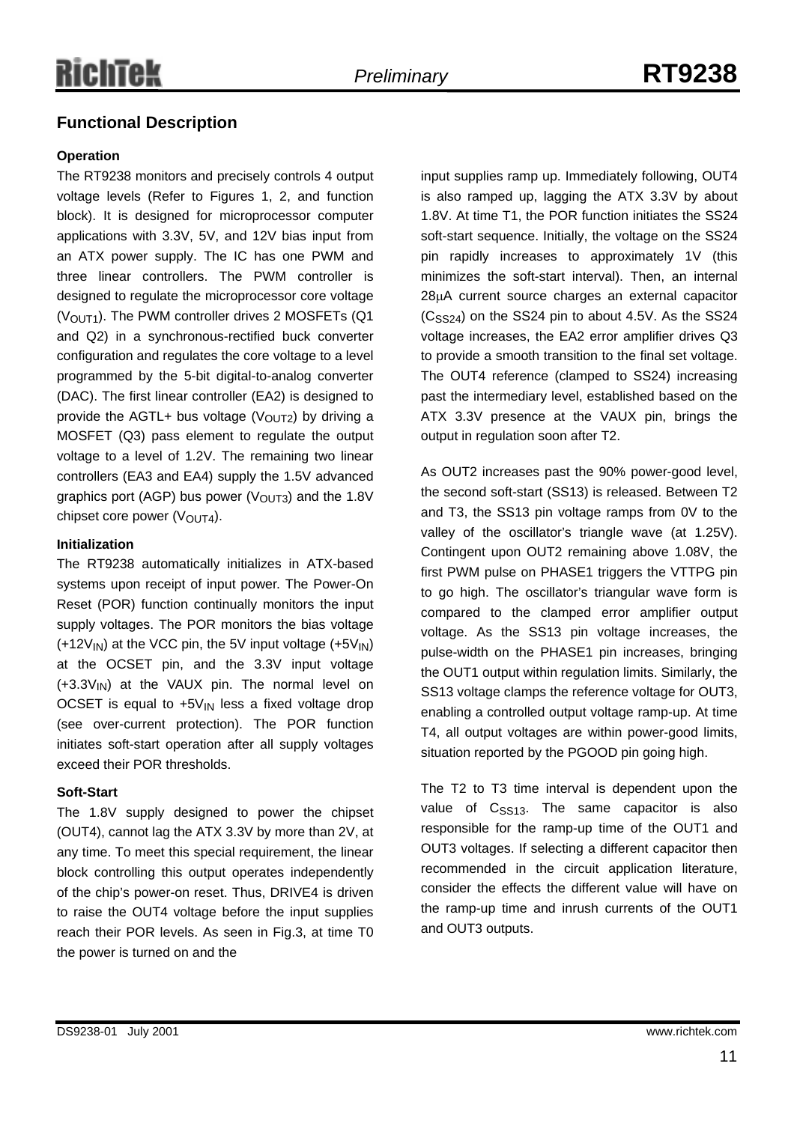#### **Functional Description**

#### **Operation**

The RT9238 monitors and precisely controls 4 output voltage levels (Refer to Figures 1, 2, and function block). It is designed for microprocessor computer applications with 3.3V, 5V, and 12V bias input from an ATX power supply. The IC has one PWM and three linear controllers. The PWM controller is designed to regulate the microprocessor core voltage  $(V<sub>OUT1</sub>)$ . The PWM controller drives 2 MOSFETs (Q1) and Q2) in a synchronous-rectified buck converter configuration and regulates the core voltage to a level programmed by the 5-bit digital-to-analog converter (DAC). The first linear controller (EA2) is designed to provide the AGTL+ bus voltage ( $V<sub>OUT2</sub>$ ) by driving a MOSFET (Q3) pass element to regulate the output voltage to a level of 1.2V. The remaining two linear controllers (EA3 and EA4) supply the 1.5V advanced graphics port (AGP) bus power ( $V_{\text{OUT3}}$ ) and the 1.8V chipset core power  $(V<sub>OUT4</sub>)$ .

#### **Initialization**

The RT9238 automatically initializes in ATX-based systems upon receipt of input power. The Power-On Reset (POR) function continually monitors the input supply voltages. The POR monitors the bias voltage  $(+12V_{IN})$  at the VCC pin, the 5V input voltage  $(+5V_{IN})$ at the OCSET pin, and the 3.3V input voltage (+3.3VIN) at the VAUX pin. The normal level on OCSET is equal to  $+5V_{\text{IN}}$  less a fixed voltage drop (see over-current protection). The POR function initiates soft-start operation after all supply voltages exceed their POR thresholds.

#### **Soft-Start**

The 1.8V supply designed to power the chipset (OUT4), cannot lag the ATX 3.3V by more than 2V, at any time. To meet this special requirement, the linear block controlling this output operates independently of the chip's power-on reset. Thus, DRIVE4 is driven to raise the OUT4 voltage before the input supplies reach their POR levels. As seen in Fig.3, at time T0 the power is turned on and the

input supplies ramp up. Immediately following, OUT4 is also ramped up, lagging the ATX 3.3V by about 1.8V. At time T1, the POR function initiates the SS24 soft-start sequence. Initially, the voltage on the SS24 pin rapidly increases to approximately 1V (this minimizes the soft-start interval). Then, an internal 28µA current source charges an external capacitor  $(C_{SS24})$  on the SS24 pin to about 4.5V. As the SS24 voltage increases, the EA2 error amplifier drives Q3 to provide a smooth transition to the final set voltage. The OUT4 reference (clamped to SS24) increasing past the intermediary level, established based on the ATX 3.3V presence at the VAUX pin, brings the output in regulation soon after T2.

As OUT2 increases past the 90% power-good level, the second soft-start (SS13) is released. Between T2 and T3, the SS13 pin voltage ramps from 0V to the valley of the oscillator's triangle wave (at 1.25V). Contingent upon OUT2 remaining above 1.08V, the first PWM pulse on PHASE1 triggers the VTTPG pin to go high. The oscillator's triangular wave form is compared to the clamped error amplifier output voltage. As the SS13 pin voltage increases, the pulse-width on the PHASE1 pin increases, bringing the OUT1 output within regulation limits. Similarly, the SS13 voltage clamps the reference voltage for OUT3, enabling a controlled output voltage ramp-up. At time T4, all output voltages are within power-good limits, situation reported by the PGOOD pin going high.

The T2 to T3 time interval is dependent upon the value of  $C<sub>S513</sub>$ . The same capacitor is also responsible for the ramp-up time of the OUT1 and OUT3 voltages. If selecting a different capacitor then recommended in the circuit application literature, consider the effects the different value will have on the ramp-up time and inrush currents of the OUT1 and OUT3 outputs.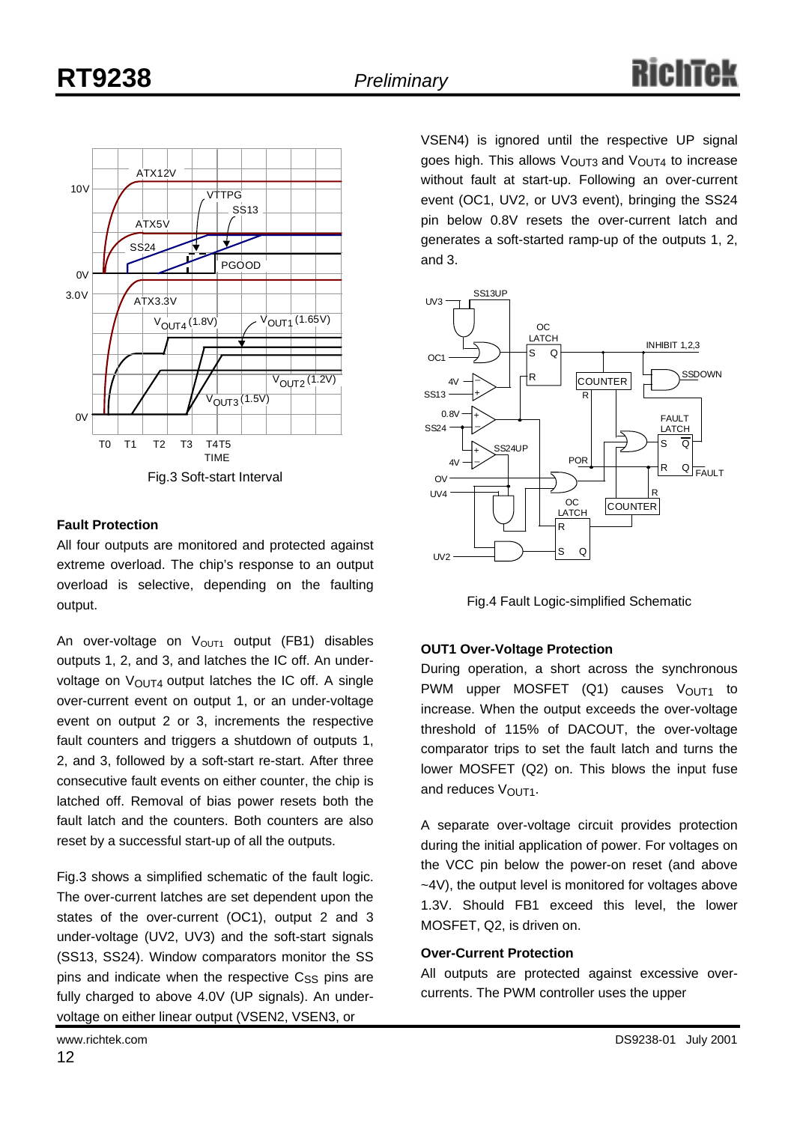

Fig.3 Soft-start Interval

#### **Fault Protection**

All four outputs are monitored and protected against extreme overload. The chip's response to an output overload is selective, depending on the faulting output.

An over-voltage on  $V<sub>OUT1</sub>$  output (FB1) disables outputs 1, 2, and 3, and latches the IC off. An undervoltage on  $V_{\text{OUT4}}$  output latches the IC off. A single over-current event on output 1, or an under-voltage event on output 2 or 3, increments the respective fault counters and triggers a shutdown of outputs 1, 2, and 3, followed by a soft-start re-start. After three consecutive fault events on either counter, the chip is latched off. Removal of bias power resets both the fault latch and the counters. Both counters are also reset by a successful start-up of all the outputs.

Fig.3 shows a simplified schematic of the fault logic. The over-current latches are set dependent upon the states of the over-current (OC1), output 2 and 3 under-voltage (UV2, UV3) and the soft-start signals (SS13, SS24). Window comparators monitor the SS pins and indicate when the respective  $C_{SS}$  pins are fully charged to above 4.0V (UP signals). An undervoltage on either linear output (VSEN2, VSEN3, or

VSEN4) is ignored until the respective UP signal goes high. This allows  $V_{\text{OUT3}}$  and  $V_{\text{OUT4}}$  to increase without fault at start-up. Following an over-current event (OC1, UV2, or UV3 event), bringing the SS24 pin below 0.8V resets the over-current latch and generates a soft-started ramp-up of the outputs 1, 2, and 3.



Fig.4 Fault Logic-simplified Schematic

#### **OUT1 Over-Voltage Protection**

During operation, a short across the synchronous PWM upper MOSFET  $(Q1)$  causes  $V_{OUT1}$  to increase. When the output exceeds the over-voltage threshold of 115% of DACOUT, the over-voltage comparator trips to set the fault latch and turns the lower MOSFET (Q2) on. This blows the input fuse and reduces  $V_{\text{OUT1}}$ .

A separate over-voltage circuit provides protection during the initial application of power. For voltages on the VCC pin below the power-on reset (and above ~4V), the output level is monitored for voltages above 1.3V. Should FB1 exceed this level, the lower MOSFET, Q2, is driven on.

#### **Over-Current Protection**

All outputs are protected against excessive overcurrents. The PWM controller uses the upper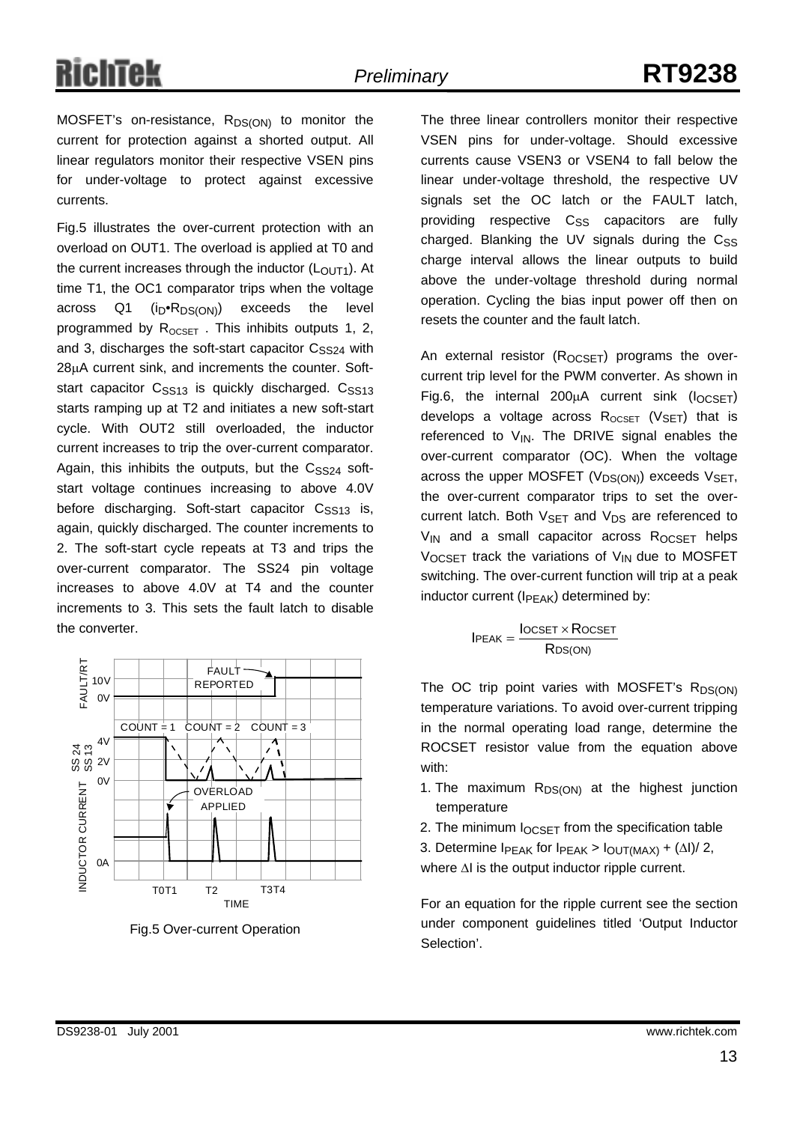MOSFET's on-resistance, R<sub>DS(ON)</sub> to monitor the current for protection against a shorted output. All linear regulators monitor their respective VSEN pins for under-voltage to protect against excessive currents.

Fig.5 illustrates the over-current protection with an overload on OUT1. The overload is applied at T0 and the current increases through the inductor  $(L<sub>OUT1</sub>)$ . At time T1, the OC1 comparator trips when the voltage across  $Q1$  ( $ip^eR_{DS(ON)}$ ) exceeds the level programmed by  $R_{OCSET}$ . This inhibits outputs 1, 2, and 3, discharges the soft-start capacitor CSS24 with 28µA current sink, and increments the counter. Softstart capacitor  $C<sub>SS13</sub>$  is quickly discharged.  $C<sub>SS13</sub>$ starts ramping up at T2 and initiates a new soft-start cycle. With OUT2 still overloaded, the inductor current increases to trip the over-current comparator. Again, this inhibits the outputs, but the  $C_{SS24}$  softstart voltage continues increasing to above 4.0V before discharging. Soft-start capacitor  $C<sub>S513</sub>$  is, again, quickly discharged. The counter increments to 2. The soft-start cycle repeats at T3 and trips the over-current comparator. The SS24 pin voltage increases to above 4.0V at T4 and the counter increments to 3. This sets the fault latch to disable the converter.



Fig.5 Over-current Operation

The three linear controllers monitor their respective VSEN pins for under-voltage. Should excessive currents cause VSEN3 or VSEN4 to fall below the linear under-voltage threshold, the respective UV signals set the OC latch or the FAULT latch, providing respective C<sub>SS</sub> capacitors are fully charged. Blanking the UV signals during the CSS charge interval allows the linear outputs to build above the under-voltage threshold during normal operation. Cycling the bias input power off then on resets the counter and the fault latch.

An external resistor  $(R_{OCSET})$  programs the overcurrent trip level for the PWM converter. As shown in Fig.6, the internal  $200\mu A$  current sink ( $I_{OCSET}$ ) develops a voltage across  $R_{OCSET}$  (V<sub>SET</sub>) that is referenced to  $V_{IN}$ . The DRIVE signal enables the over-current comparator (OC). When the voltage across the upper MOSFET ( $V_{DS(ON)}$ ) exceeds  $V_{SET}$ , the over-current comparator trips to set the overcurrent latch. Both  $V_{\text{SET}}$  and  $V_{\text{DS}}$  are referenced to  $V_{IN}$  and a small capacitor across  $R_{OCSET}$  helps  $V_{OCSET}$  track the variations of  $V_{IN}$  due to MOSFET switching. The over-current function will trip at a peak inductor current ( $I_{PEAK}$ ) determined by:

$$
IPEAK = \frac{Iocset \times Rocset}{RDS(ON)}
$$

The OC trip point varies with MOSFET's  $R_{DS(ON)}$ temperature variations. To avoid over-current tripping in the normal operating load range, determine the ROCSET resistor value from the equation above with:

- 1. The maximum  $R_{DS(ON)}$  at the highest junction temperature
- 2. The minimum  $I_{OCSET}$  from the specification table
- 3. Determine I<sub>PEAK</sub> for I<sub>PEAK</sub> >  $I_{\text{OUT}(MAX)} + (\Delta I)/2$ , where ∆I is the output inductor ripple current.

For an equation for the ripple current see the section under component guidelines titled 'Output Inductor Selection'.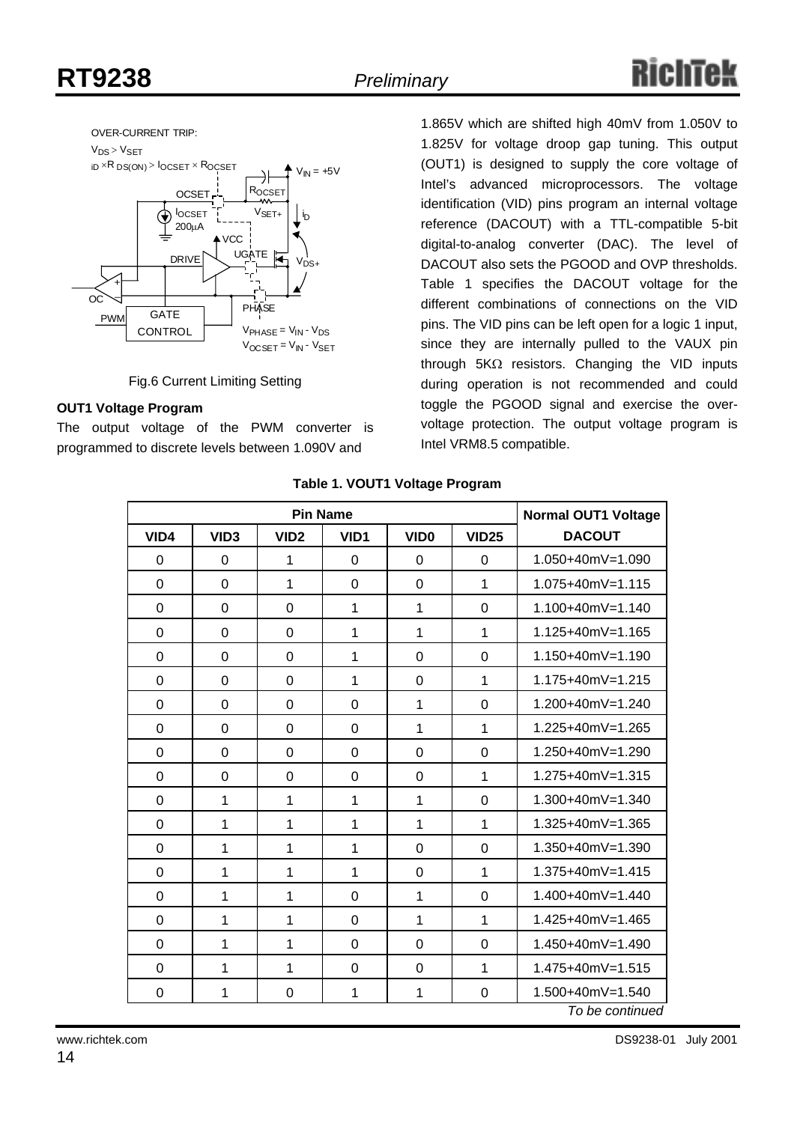

Fig.6 Current Limiting Setting

#### **OUT1 Voltage Program**

The output voltage of the PWM converter is programmed to discrete levels between 1.090V and

1.865V which are shifted high 40mV from 1.050V to 1.825V for voltage droop gap tuning. This output (OUT1) is designed to supply the core voltage of Intel's advanced microprocessors. The voltage identification (VID) pins program an internal voltage reference (DACOUT) with a TTL-compatible 5-bit digital-to-analog converter (DAC). The level of DACOUT also sets the PGOOD and OVP thresholds. Table 1 specifies the DACOUT voltage for the different combinations of connections on the VID pins. The VID pins can be left open for a logic 1 input, since they are internally pulled to the VAUX pin through 5KΩ resistors. Changing the VID inputs during operation is not recommended and could toggle the PGOOD signal and exercise the overvoltage protection. The output voltage program is Intel VRM8.5 compatible.

|                | <b>Pin Name</b>  |                  |                  |                  |                | <b>Normal OUT1 Voltage</b> |
|----------------|------------------|------------------|------------------|------------------|----------------|----------------------------|
| VID4           | VID <sub>3</sub> | VID <sub>2</sub> | VID <sub>1</sub> | VID <sub>0</sub> | <b>VID25</b>   | <b>DACOUT</b>              |
| $\Omega$       | $\Omega$         | 1                | 0                | 0                | $\overline{0}$ | 1.050+40mV=1.090           |
| $\overline{0}$ | $\overline{0}$   | 1                | 0                | 0                | 1              | 1.075+40mV=1.115           |
| 0              | $\Omega$         | 0                | 1                | 1                | $\overline{0}$ | $1.100 + 40mV = 1.140$     |
| $\mathbf 0$    | $\mathbf 0$      | $\mathbf 0$      | $\mathbf 1$      | 1                | 1              | 1.125+40mV=1.165           |
| 0              | 0                | 0                | 1                | 0                | $\Omega$       | $1.150 + 40mV = 1.190$     |
| 0              | $\Omega$         | $\Omega$         | 1                | 0                | 1              | 1.175+40mV=1.215           |
| $\overline{0}$ | 0                | $\overline{0}$   | $\overline{0}$   | 1                | $\Omega$       | 1.200+40mV=1.240           |
| $\overline{0}$ | $\overline{0}$   | $\overline{0}$   | $\overline{0}$   | 1                | 1              | 1.225+40mV=1.265           |
| $\mathbf 0$    | $\overline{0}$   | $\mathbf 0$      | 0                | $\mathbf 0$      | $\overline{0}$ | 1.250+40mV=1.290           |
| $\Omega$       | $\Omega$         | $\Omega$         | $\Omega$         | $\Omega$         | 1              | $1.275 + 40mV = 1.315$     |
| $\mathbf 0$    | 1                | 1                | 1                | 1                | $\overline{0}$ | 1.300+40mV=1.340           |
| $\overline{0}$ | 1                | 1                | 1                | 1                | $\mathbf{1}$   | 1.325+40mV=1.365           |
| $\overline{0}$ | $\mathbf{1}$     | 1                | 1                | $\overline{0}$   | $\overline{0}$ | 1.350+40mV=1.390           |
| 0              | 1                | 1                | 1                | $\Omega$         | 1              | $1.375 + 40mV = 1.415$     |
| $\mathbf 0$    | 1                | 1                | 0                | 1                | $\overline{0}$ | 1.400+40mV=1.440           |
| $\mathbf 0$    | $\mathbf{1}$     | 1                | 0                | 1                | $\mathbf{1}$   | $1.425 + 40mV = 1.465$     |
| 0              | 1                | 1                | 0                | $\Omega$         | $\overline{0}$ | 1.450+40mV=1.490           |
| $\overline{0}$ | 1                | 1                | $\overline{0}$   | 0                | 1              | 1.475+40mV=1.515           |
| 0              | 1                | 0                | 1                | 1                | $\Omega$       | 1.500+40mV=1.540           |
|                |                  |                  |                  |                  |                | To be continued            |

#### **Table 1. VOUT1 Voltage Program**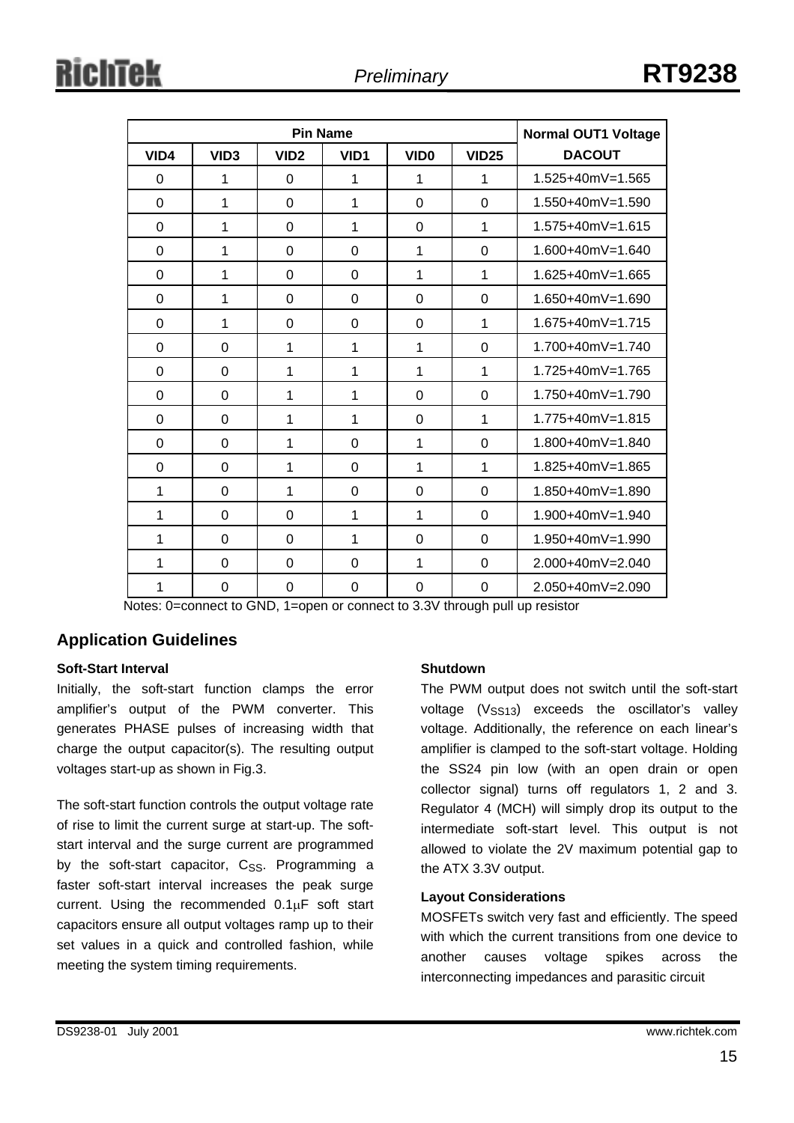|          |                  | <b>Normal OUT1 Voltage</b> |                  |                  |                |                  |
|----------|------------------|----------------------------|------------------|------------------|----------------|------------------|
| VID4     | VID <sub>3</sub> | VID <sub>2</sub>           | VID <sub>1</sub> | VID <sub>0</sub> | <b>VID25</b>   | <b>DACOUT</b>    |
| 0        | 1                | 0                          | 1                | 1                | 1              | 1.525+40mV=1.565 |
| $\Omega$ | 1                | $\overline{0}$             | $\mathbf 1$      | 0                | 0              | 1.550+40mV=1.590 |
| $\Omega$ | 1                | $\Omega$                   | $\mathbf 1$      | $\Omega$         | 1              | 1.575+40mV=1.615 |
| 0        | 1                | $\Omega$                   | 0                | 1                | $\Omega$       | 1.600+40mV=1.640 |
| 0        | 1                | 0                          | 0                | 1                | 1              | 1.625+40mV=1.665 |
| 0        | 1                | $\mathbf 0$                | 0                | 0                | 0              | 1.650+40mV=1.690 |
| $\Omega$ | 1                | $\mathbf 0$                | 0                | 0                | 1              | 1.675+40mV=1.715 |
| $\Omega$ | $\Omega$         | 1                          | 1                | 1                | $\Omega$       | 1.700+40mV=1.740 |
| 0        | $\Omega$         | 1                          | $\mathbf 1$      | 1                | 1              | 1.725+40mV=1.765 |
| 0        | $\mathbf 0$      | 1                          | $\mathbf{1}$     | 0                | 0              | 1.750+40mV=1.790 |
| 0        | $\Omega$         | 1                          | $\mathbf 1$      | 0                | $\mathbf 1$    | 1.775+40mV=1.815 |
| $\Omega$ | $\Omega$         | 1                          | 0                | 1                | $\Omega$       | 1.800+40mV=1.840 |
| 0        | $\overline{0}$   | 1                          | 0                | 1                | $\mathbf{1}$   | 1.825+40mV=1.865 |
| 1        | $\mathbf 0$      | 1                          | 0                | 0                | $\overline{0}$ | 1.850+40mV=1.890 |
| 1        | $\Omega$         | 0                          | $\mathbf{1}$     | 1                | 0              | 1.900+40mV=1.940 |
| 1        | $\Omega$         | 0                          | 1                | 0                | $\Omega$       | 1.950+40mV=1.990 |
| 1        | $\Omega$         | $\Omega$                   | 0                | 1                | $\Omega$       | 2.000+40mV=2.040 |
| 1        | $\mathbf 0$      | 0                          | 0                | 0                | $\Omega$       | 2.050+40mV=2.090 |

Notes: 0=connect to GND, 1=open or connect to 3.3V through pull up resistor

#### **Application Guidelines**

#### **Soft-Start Interval**

Initially, the soft-start function clamps the error amplifier's output of the PWM converter. This generates PHASE pulses of increasing width that charge the output capacitor(s). The resulting output voltages start-up as shown in Fig.3.

The soft-start function controls the output voltage rate of rise to limit the current surge at start-up. The softstart interval and the surge current are programmed by the soft-start capacitor, C<sub>SS</sub>. Programming a faster soft-start interval increases the peak surge current. Using the recommended 0.1µF soft start capacitors ensure all output voltages ramp up to their set values in a quick and controlled fashion, while meeting the system timing requirements.

#### **Shutdown**

The PWM output does not switch until the soft-start voltage  $(V<sub>SS13</sub>)$  exceeds the oscillator's valley voltage. Additionally, the reference on each linear's amplifier is clamped to the soft-start voltage. Holding the SS24 pin low (with an open drain or open collector signal) turns off regulators 1, 2 and 3. Regulator 4 (MCH) will simply drop its output to the intermediate soft-start level. This output is not allowed to violate the 2V maximum potential gap to the ATX 3.3V output.

#### **Layout Considerations**

MOSFETs switch very fast and efficiently. The speed with which the current transitions from one device to another causes voltage spikes across the interconnecting impedances and parasitic circuit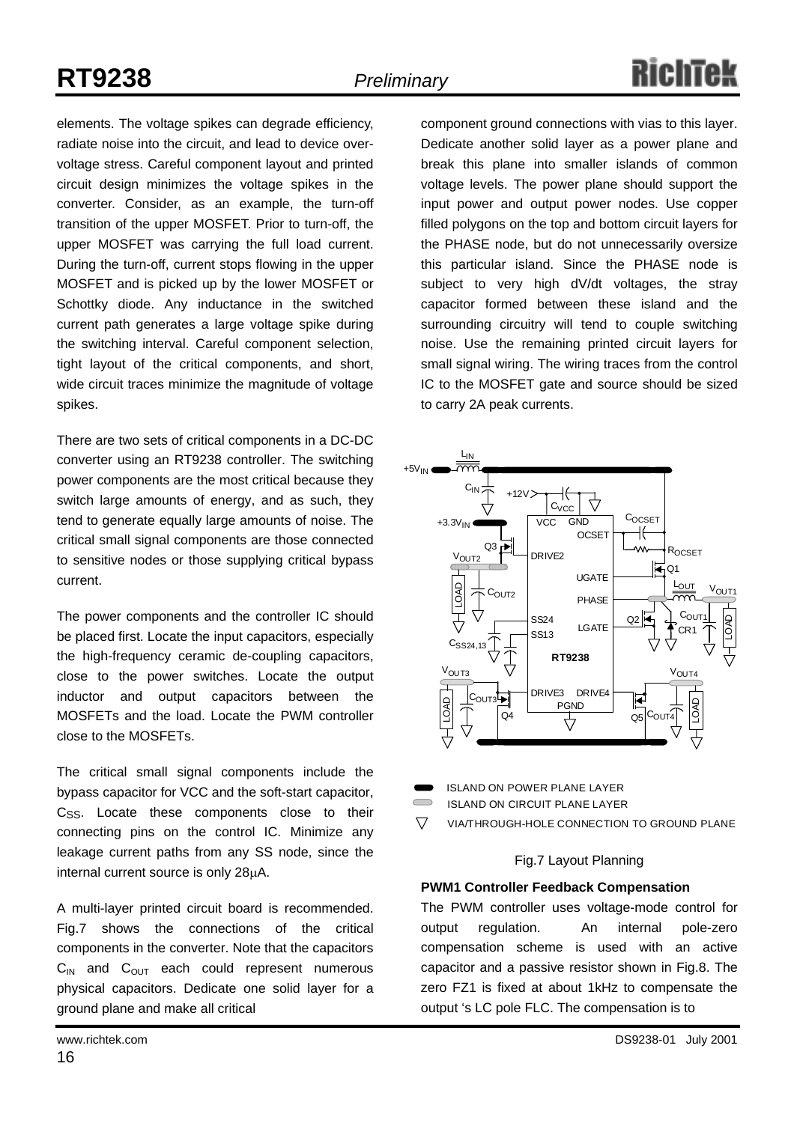elements. The voltage spikes can degrade efficiency, radiate noise into the circuit, and lead to device overvoltage stress. Careful component layout and printed circuit design minimizes the voltage spikes in the converter. Consider, as an example, the turn-off transition of the upper MOSFET. Prior to turn-off, the upper MOSFET was carrying the full load current. During the turn-off, current stops flowing in the upper MOSFET and is picked up by the lower MOSFET or Schottky diode. Any inductance in the switched current path generates a large voltage spike during the switching interval. Careful component selection, tight layout of the critical components, and short, wide circuit traces minimize the magnitude of voltage spikes.

There are two sets of critical components in a DC-DC converter using an RT9238 controller. The switching power components are the most critical because they switch large amounts of energy, and as such, they tend to generate equally large amounts of noise. The critical small signal components are those connected to sensitive nodes or those supplying critical bypass current.

The power components and the controller IC should be placed first. Locate the input capacitors, especially the high-frequency ceramic de-coupling capacitors, close to the power switches. Locate the output inductor and output capacitors between the MOSFETs and the load. Locate the PWM controller close to the MOSFETs.

The critical small signal components include the bypass capacitor for VCC and the soft-start capacitor, C<sub>SS</sub>. Locate these components close to their connecting pins on the control IC. Minimize any leakage current paths from any SS node, since the internal current source is only 28µA.

A multi-layer printed circuit board is recommended. Fig.7 shows the connections of the critical components in the converter. Note that the capacitors  $C_{IN}$  and  $C_{OUT}$  each could represent numerous physical capacitors. Dedicate one solid layer for a ground plane and make all critical

component ground connections with vias to this layer. Dedicate another solid layer as a power plane and break this plane into smaller islands of common voltage levels. The power plane should support the input power and output power nodes. Use copper filled polygons on the top and bottom circuit layers for the PHASE node, but do not unnecessarily oversize this particular island. Since the PHASE node is subject to very high dV/dt voltages, the stray capacitor formed between these island and the surrounding circuitry will tend to couple switching noise. Use the remaining printed circuit layers for small signal wiring. The wiring traces from the control IC to the MOSFET gate and source should be sized to carry 2A peak currents.

![](_page_15_Figure_9.jpeg)

ISLAND ON POWER PLANE LAYER

ISLAND ON CIRCUIT PLANE LAYER

 $\nabla$ VIA/THROUGH-HOLE CONNECTION TO GROUND PLANE

#### Fig.7 Layout Planning

#### **PWM1 Controller Feedback Compensation**

The PWM controller uses voltage-mode control for output regulation. An internal pole-zero compensation scheme is used with an active capacitor and a passive resistor shown in Fig.8. The zero FZ1 is fixed at about 1kHz to compensate the output 's LC pole FLC. The compensation is to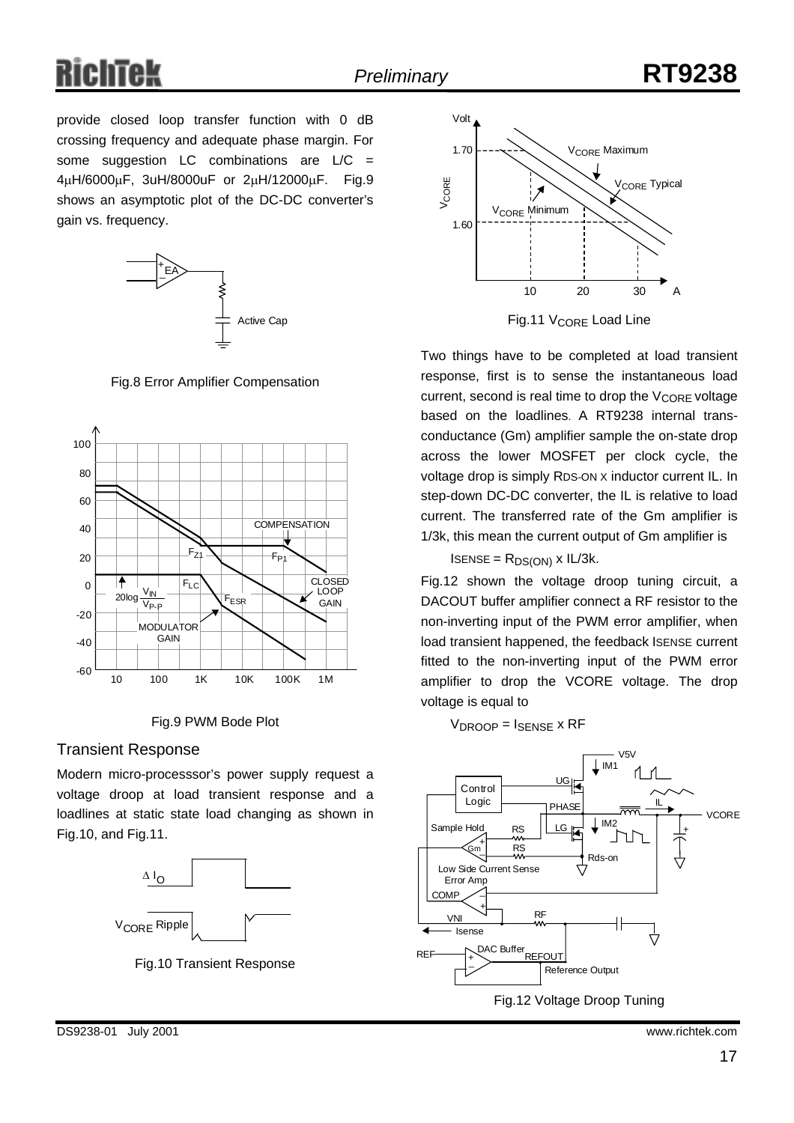## chīek

provide closed loop transfer function with 0 dB crossing frequency and adequate phase margin. For some suggestion LC combinations are  $L/C =$ 4µH/6000µF, 3uH/8000uF or 2µH/12000µF. Fig.9 shows an asymptotic plot of the DC-DC converter's gain vs. frequency.

![](_page_16_Figure_4.jpeg)

Fig.8 Error Amplifier Compensation

![](_page_16_Figure_6.jpeg)

![](_page_16_Figure_7.jpeg)

#### Transient Response

Modern micro-processsor's power supply request a voltage droop at load transient response and a loadlines at static state load changing as shown in Fig.10, and Fig.11.

![](_page_16_Figure_10.jpeg)

Fig.10 Transient Response

![](_page_16_Figure_12.jpeg)

Fig.11 V<sub>CORE</sub> Load Line

Two things have to be completed at load transient response, first is to sense the instantaneous load current, second is real time to drop the  $V_{\text{CORF}}$  voltage based on the loadlines. A RT9238 internal transconductance (Gm) amplifier sample the on-state drop across the lower MOSFET per clock cycle, the voltage drop is simply RDS-ON X inductor current IL. In step-down DC-DC converter, the IL is relative to load current. The transferred rate of the Gm amplifier is 1/3k, this mean the current output of Gm amplifier is

 $ISENSE = R_{DS(ON)} \times I L/3k$ .

Fig.12 shown the voltage droop tuning circuit, a DACOUT buffer amplifier connect a RF resistor to the non-inverting input of the PWM error amplifier, when load transient happened, the feedback ISENSE current fitted to the non-inverting input of the PWM error amplifier to drop the VCORE voltage. The drop voltage is equal to

 $V_{\text{DROOP}} = I_{\text{SENSE}} \times \text{RF}$ 

![](_page_16_Figure_18.jpeg)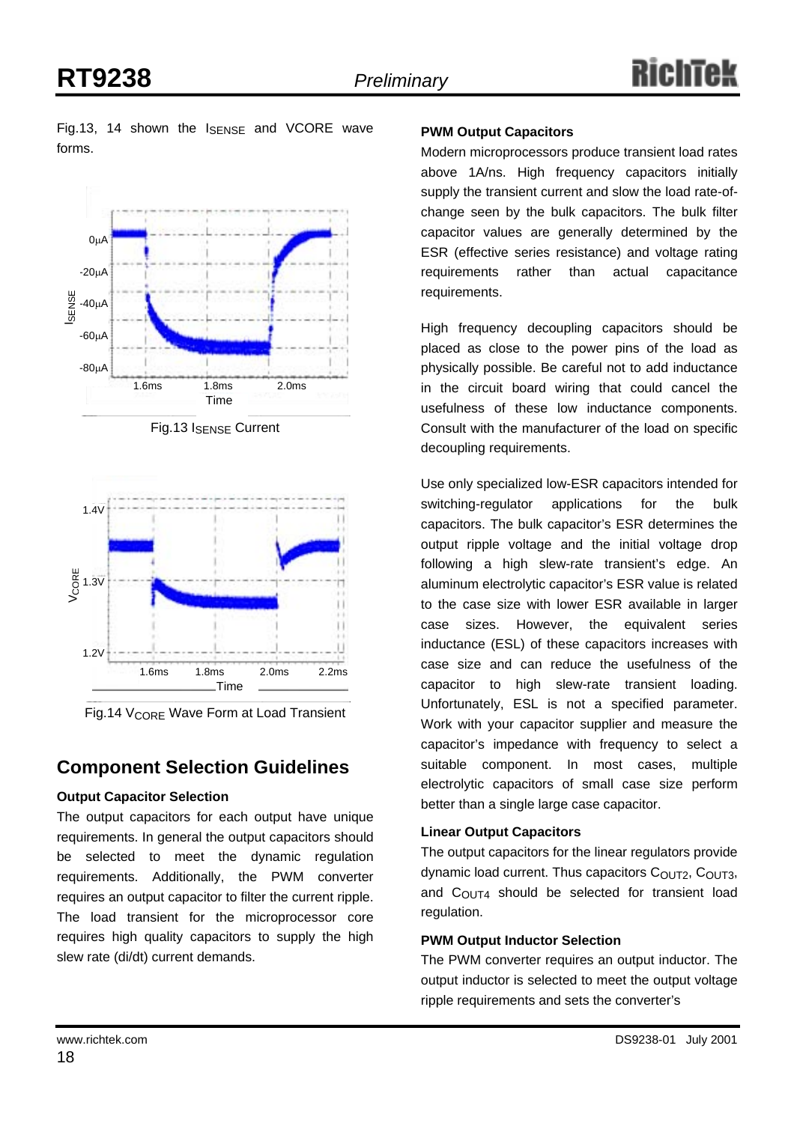Fig.13, 14 shown the ISENSE and VCORE wave forms.

![](_page_17_Figure_4.jpeg)

Fig.13 I<sub>SENSE</sub> Current

![](_page_17_Figure_6.jpeg)

Fig.14 V<sub>CORE</sub> Wave Form at Load Transient

## **Component Selection Guidelines**

#### **Output Capacitor Selection**

The output capacitors for each output have unique requirements. In general the output capacitors should be selected to meet the dynamic regulation requirements. Additionally, the PWM converter requires an output capacitor to filter the current ripple. The load transient for the microprocessor core requires high quality capacitors to supply the high slew rate (di/dt) current demands.

#### **PWM Output Capacitors**

Modern microprocessors produce transient load rates above 1A/ns. High frequency capacitors initially supply the transient current and slow the load rate-ofchange seen by the bulk capacitors. The bulk filter capacitor values are generally determined by the ESR (effective series resistance) and voltage rating requirements rather than actual capacitance requirements.

High frequency decoupling capacitors should be placed as close to the power pins of the load as physically possible. Be careful not to add inductance in the circuit board wiring that could cancel the usefulness of these low inductance components. Consult with the manufacturer of the load on specific decoupling requirements.

Use only specialized low-ESR capacitors intended for switching-regulator applications for the bulk capacitors. The bulk capacitor's ESR determines the output ripple voltage and the initial voltage drop following a high slew-rate transient's edge. An aluminum electrolytic capacitor's ESR value is related to the case size with lower ESR available in larger case sizes. However, the equivalent series inductance (ESL) of these capacitors increases with case size and can reduce the usefulness of the capacitor to high slew-rate transient loading. Unfortunately, ESL is not a specified parameter. Work with your capacitor supplier and measure the capacitor's impedance with frequency to select a suitable component. In most cases, multiple electrolytic capacitors of small case size perform better than a single large case capacitor.

#### **Linear Output Capacitors**

The output capacitors for the linear regulators provide dynamic load current. Thus capacitors  $C<sub>OUT2</sub>$ ,  $C<sub>OUT3</sub>$ , and  $C<sub>OUT4</sub>$  should be selected for transient load regulation.

#### **PWM Output Inductor Selection**

The PWM converter requires an output inductor. The output inductor is selected to meet the output voltage ripple requirements and sets the converter's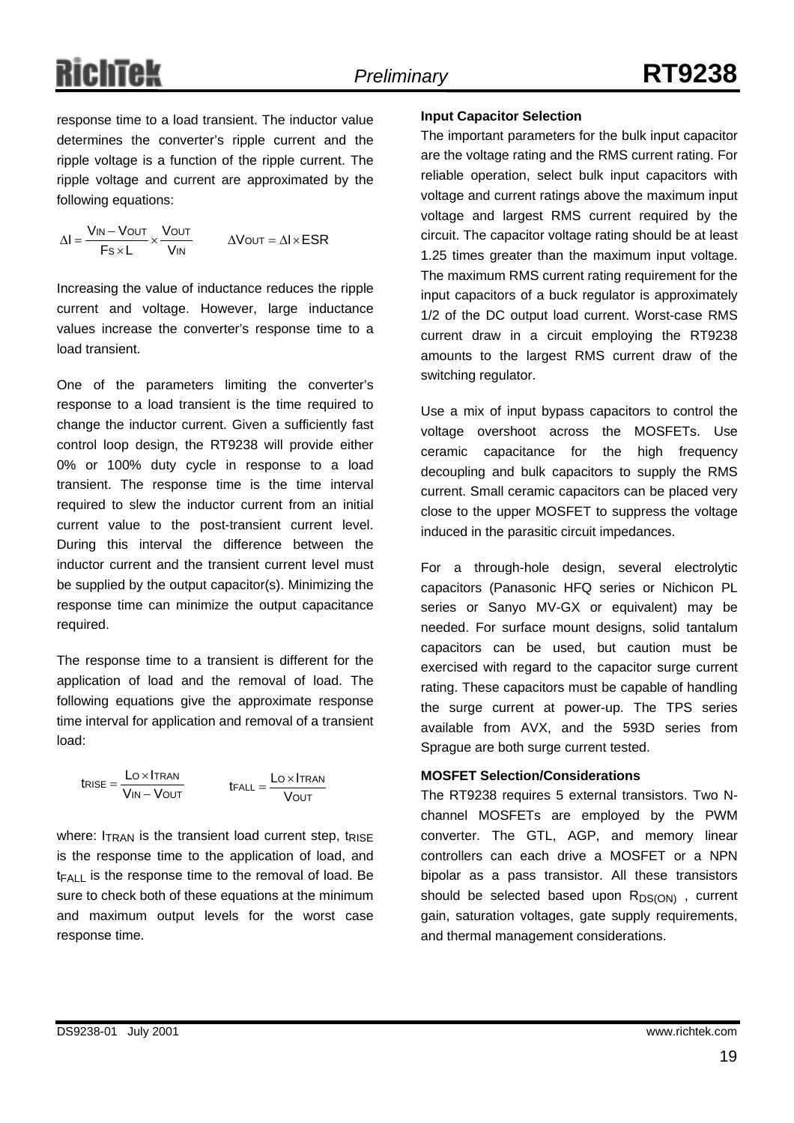## RichTek

response time to a load transient. The inductor value determines the converter's ripple current and the ripple voltage is a function of the ripple current. The ripple voltage and current are approximated by the following equations:

IN OUT S in – Vout V V  $\Delta I = \frac{V_{IN} - V_{OUT}}{F s \times L} \times \frac{V_{OUT}}{V_{IN}}$   $\Delta V_{OUT} = \Delta I \times ESR$ 

Increasing the value of inductance reduces the ripple current and voltage. However, large inductance values increase the converter's response time to a load transient.

One of the parameters limiting the converter's response to a load transient is the time required to change the inductor current. Given a sufficiently fast control loop design, the RT9238 will provide either 0% or 100% duty cycle in response to a load transient. The response time is the time interval required to slew the inductor current from an initial current value to the post-transient current level. During this interval the difference between the inductor current and the transient current level must be supplied by the output capacitor(s). Minimizing the response time can minimize the output capacitance required.

The response time to a transient is different for the application of load and the removal of load. The following equations give the approximate response time interval for application and removal of a transient load:

$$
trise = \frac{Lo \times Itran}{V_{IN} - Vout} \qquad trall = \frac{Lo \times Itran}{Vout}
$$

where:  $I_{TRAN}$  is the transient load current step,  $t_{RISE}$ is the response time to the application of load, and tFALL is the response time to the removal of load. Be sure to check both of these equations at the minimum and maximum output levels for the worst case response time.

#### **Input Capacitor Selection**

The important parameters for the bulk input capacitor are the voltage rating and the RMS current rating. For reliable operation, select bulk input capacitors with voltage and current ratings above the maximum input voltage and largest RMS current required by the circuit. The capacitor voltage rating should be at least 1.25 times greater than the maximum input voltage. The maximum RMS current rating requirement for the input capacitors of a buck regulator is approximately 1/2 of the DC output load current. Worst-case RMS current draw in a circuit employing the RT9238 amounts to the largest RMS current draw of the switching regulator.

Use a mix of input bypass capacitors to control the voltage overshoot across the MOSFETs. Use ceramic capacitance for the high frequency decoupling and bulk capacitors to supply the RMS current. Small ceramic capacitors can be placed very close to the upper MOSFET to suppress the voltage induced in the parasitic circuit impedances.

For a through-hole design, several electrolytic capacitors (Panasonic HFQ series or Nichicon PL series or Sanyo MV-GX or equivalent) may be needed. For surface mount designs, solid tantalum capacitors can be used, but caution must be exercised with regard to the capacitor surge current rating. These capacitors must be capable of handling the surge current at power-up. The TPS series available from AVX, and the 593D series from Sprague are both surge current tested.

#### **MOSFET Selection/Considerations**

The RT9238 requires 5 external transistors. Two Nchannel MOSFETs are employed by the PWM converter. The GTL, AGP, and memory linear controllers can each drive a MOSFET or a NPN bipolar as a pass transistor. All these transistors should be selected based upon  $R_{DS(ON)}$ , current gain, saturation voltages, gate supply requirements, and thermal management considerations.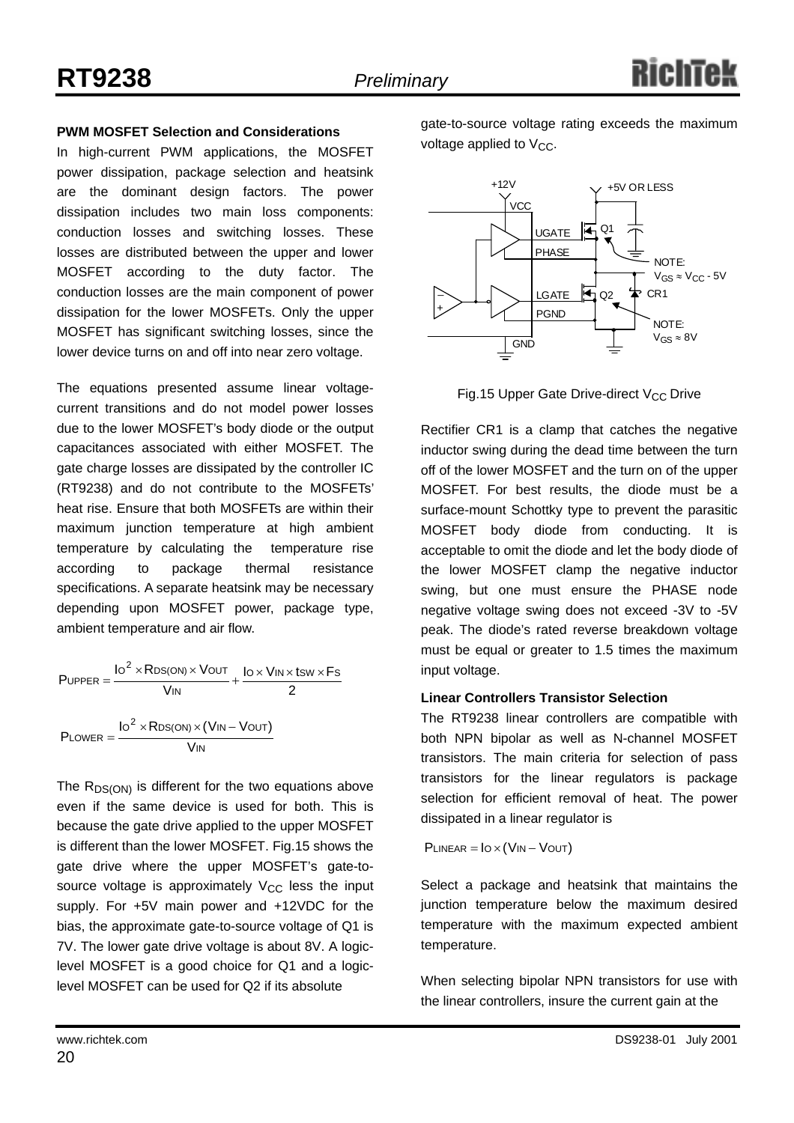#### **PWM MOSFET Selection and Considerations**

In high-current PWM applications, the MOSFET power dissipation, package selection and heatsink are the dominant design factors. The power dissipation includes two main loss components: conduction losses and switching losses. These losses are distributed between the upper and lower MOSFET according to the duty factor. The conduction losses are the main component of power dissipation for the lower MOSFETs. Only the upper MOSFET has significant switching losses, since the lower device turns on and off into near zero voltage.

The equations presented assume linear voltagecurrent transitions and do not model power losses due to the lower MOSFET's body diode or the output capacitances associated with either MOSFET. The gate charge losses are dissipated by the controller IC (RT9238) and do not contribute to the MOSFETs' heat rise. Ensure that both MOSFETs are within their maximum junction temperature at high ambient temperature by calculating the temperature rise according to package thermal resistance specifications. A separate heatsink may be necessary depending upon MOSFET power, package type, ambient temperature and air flow.

$$
P_{UPPER} = \frac{lo^{2} \times R_{DS(ON)} \times V_{OUT}}{V_{IN}} + \frac{Io \times V_{IN} \times t_{SW} \times Fs}{2}
$$
  

$$
P_{LOWER} = \frac{lo^{2} \times R_{DS(ON)} \times (V_{IN} - V_{OUT})}{V_{IN}}
$$

The  $R_{DS(ON)}$  is different for the two equations above even if the same device is used for both. This is because the gate drive applied to the upper MOSFET is different than the lower MOSFET. Fig.15 shows the gate drive where the upper MOSFET's gate-tosource voltage is approximately  $V_{CC}$  less the input supply. For +5V main power and +12VDC for the bias, the approximate gate-to-source voltage of Q1 is 7V. The lower gate drive voltage is about 8V. A logiclevel MOSFET is a good choice for Q1 and a logiclevel MOSFET can be used for Q2 if its absolute

gate-to-source voltage rating exceeds the maximum voltage applied to  $V_{CC}$ .

![](_page_19_Figure_9.jpeg)

Fig.15 Upper Gate Drive-direct V<sub>CC</sub> Drive

Rectifier CR1 is a clamp that catches the negative inductor swing during the dead time between the turn off of the lower MOSFET and the turn on of the upper MOSFET. For best results, the diode must be a surface-mount Schottky type to prevent the parasitic MOSFET body diode from conducting. It is acceptable to omit the diode and let the body diode of the lower MOSFET clamp the negative inductor swing, but one must ensure the PHASE node negative voltage swing does not exceed -3V to -5V peak. The diode's rated reverse breakdown voltage must be equal or greater to 1.5 times the maximum input voltage.

#### **Linear Controllers Transistor Selection**

The RT9238 linear controllers are compatible with both NPN bipolar as well as N-channel MOSFET transistors. The main criteria for selection of pass transistors for the linear regulators is package selection for efficient removal of heat. The power dissipated in a linear regulator is

 $P_{LINEAR} = Io \times (V_{IN} - V_{OUT})$ 

Select a package and heatsink that maintains the junction temperature below the maximum desired temperature with the maximum expected ambient temperature.

When selecting bipolar NPN transistors for use with the linear controllers, insure the current gain at the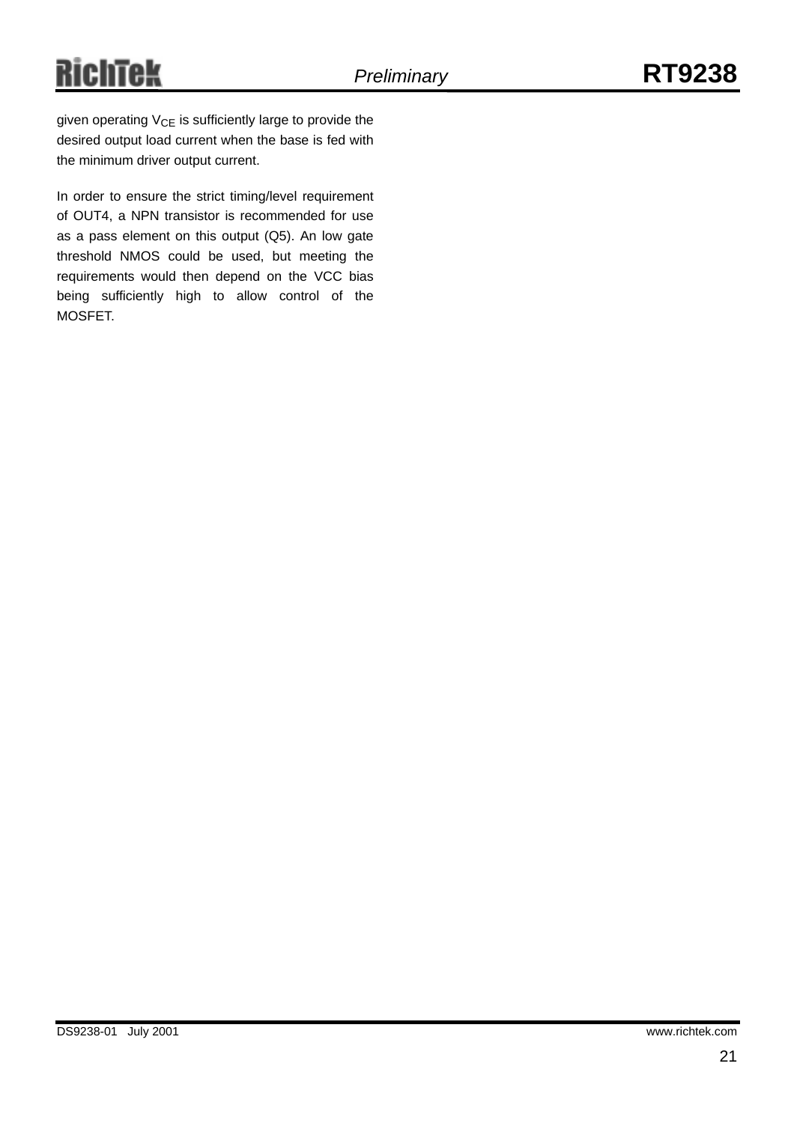given operating  $V_{CE}$  is sufficiently large to provide the desired output load current when the base is fed with the minimum driver output current.

In order to ensure the strict timing/level requirement of OUT4, a NPN transistor is recommended for use as a pass element on this output (Q5). An low gate threshold NMOS could be used, but meeting the requirements would then depend on the VCC bias being sufficiently high to allow control of the MOSFET.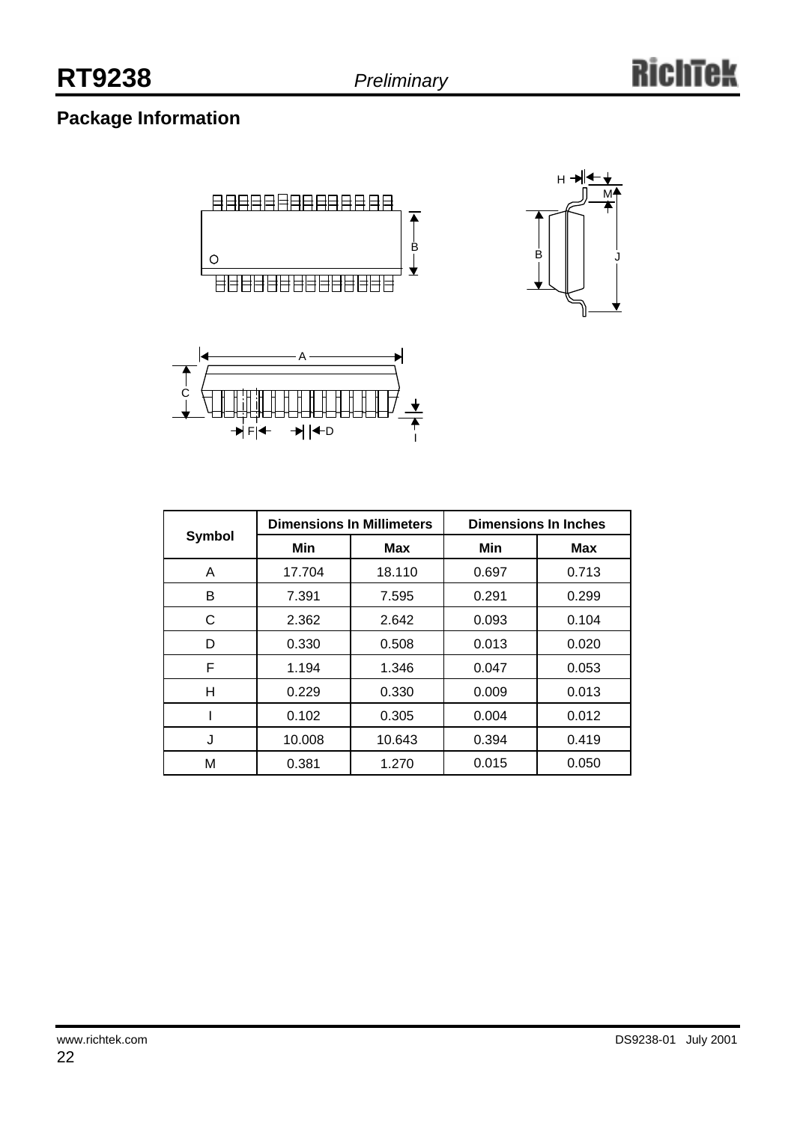M

**H → +** 

 $\overline{B}$ 

## **Package Information**

![](_page_21_Figure_4.jpeg)

![](_page_21_Figure_5.jpeg)

| С<br>→│←D<br>NF≮ |        |                                  |       |                             |  |  |
|------------------|--------|----------------------------------|-------|-----------------------------|--|--|
|                  |        | <b>Dimensions In Millimeters</b> |       | <b>Dimensions In Inches</b> |  |  |
| <b>Symbol</b>    | Min    | Max                              | Min   | <b>Max</b>                  |  |  |
| A                | 17.704 | 18.110                           | 0.697 | 0.713                       |  |  |
| B                | 7.391  | 7.595                            | 0.291 | 0.299                       |  |  |
| C                | 2.362  | 2.642                            | 0.093 | 0.104                       |  |  |
| D                | 0.330  | 0.508                            | 0.013 | 0.020                       |  |  |
| F                | 1.194  | 1.346                            | 0.047 | 0.053                       |  |  |
| H                | 0.229  | 0.330                            | 0.009 | 0.013                       |  |  |
| I                | 0.102  | 0.305                            | 0.004 | 0.012                       |  |  |
| J                | 10.008 | 10.643                           | 0.394 | 0.419                       |  |  |
| M                | 0.381  | 1.270                            | 0.015 | 0.050                       |  |  |